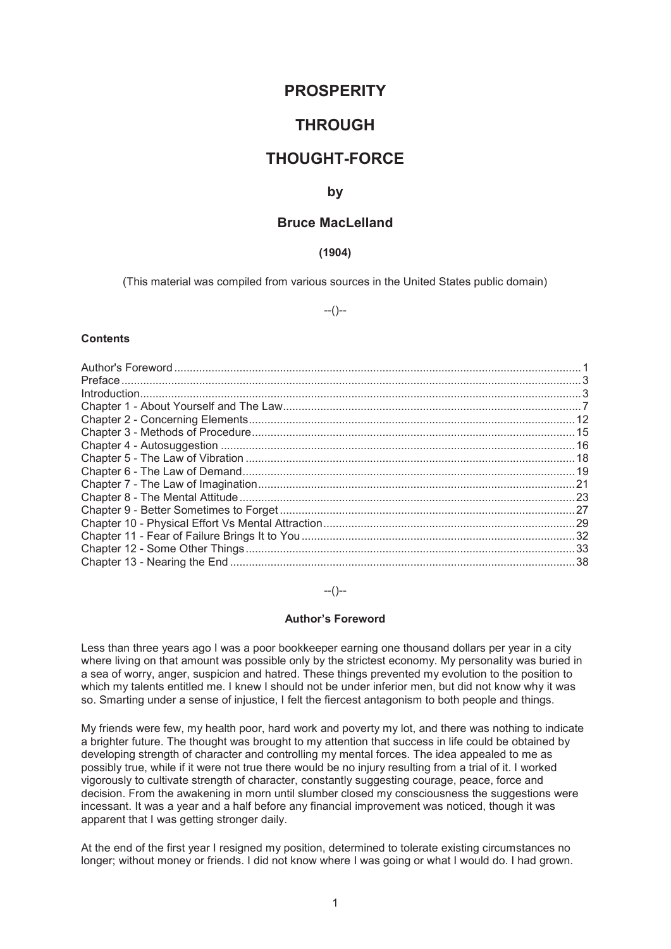# **PROSPERITY**

# **THROUGH**

# **THOUGHT-FORCE**

## **by**

# **Bruce MacLelland**

# **(1904)**

(This material was compiled from various sources in the United States public domain)

 $-(-)$ 

#### **Contents**

| $\int_0^{\infty} \frac{1}{2} \int_0^{\infty} \frac{1}{2} \int_0^{\infty} \frac{1}{2} \int_0^{\infty} \frac{1}{2} \int_0^{\infty} \frac{1}{2} \int_0^{\infty} \frac{1}{2} \int_0^{\infty} \frac{1}{2} \int_0^{\infty} \frac{1}{2} \int_0^{\infty} \frac{1}{2} \int_0^{\infty} \frac{1}{2} \int_0^{\infty} \frac{1}{2} \int_0^{\infty} \frac{1}{2} \int_0^{\infty} \frac{1}{2} \int_0^{\infty} \frac{$ |  |
|------------------------------------------------------------------------------------------------------------------------------------------------------------------------------------------------------------------------------------------------------------------------------------------------------------------------------------------------------------------------------------------------------|--|
|                                                                                                                                                                                                                                                                                                                                                                                                      |  |
|                                                                                                                                                                                                                                                                                                                                                                                                      |  |
|                                                                                                                                                                                                                                                                                                                                                                                                      |  |
|                                                                                                                                                                                                                                                                                                                                                                                                      |  |
|                                                                                                                                                                                                                                                                                                                                                                                                      |  |
|                                                                                                                                                                                                                                                                                                                                                                                                      |  |
|                                                                                                                                                                                                                                                                                                                                                                                                      |  |
|                                                                                                                                                                                                                                                                                                                                                                                                      |  |
|                                                                                                                                                                                                                                                                                                                                                                                                      |  |
|                                                                                                                                                                                                                                                                                                                                                                                                      |  |
|                                                                                                                                                                                                                                                                                                                                                                                                      |  |
|                                                                                                                                                                                                                                                                                                                                                                                                      |  |
|                                                                                                                                                                                                                                                                                                                                                                                                      |  |
|                                                                                                                                                                                                                                                                                                                                                                                                      |  |

#### --()--

### **Author's Foreword**

Less than three years ago I was a poor bookkeeper earning one thousand dollars per year in a city where living on that amount was possible only by the strictest economy. My personality was buried in a sea of worry, anger, suspicion and hatred. These things prevented my evolution to the position to which my talents entitled me. I knew I should not be under inferior men, but did not know why it was so. Smarting under a sense of injustice, I felt the fiercest antagonism to both people and things.

My friends were few, my health poor, hard work and poverty my lot, and there was nothing to indicate a brighter future. The thought was brought to my attention that success in life could be obtained by developing strength of character and controlling my mental forces. The idea appealed to me as possibly true, while if it were not true there would be no injury resulting from a trial of it. I worked vigorously to cultivate strength of character, constantly suggesting courage, peace, force and decision. From the awakening in morn until slumber closed my consciousness the suggestions were incessant. It was a year and a half before any financial improvement was noticed, though it was apparent that I was getting stronger daily.

At the end of the first year I resigned my position, determined to tolerate existing circumstances no longer; without money or friends. I did not know where I was going or what I would do. I had grown.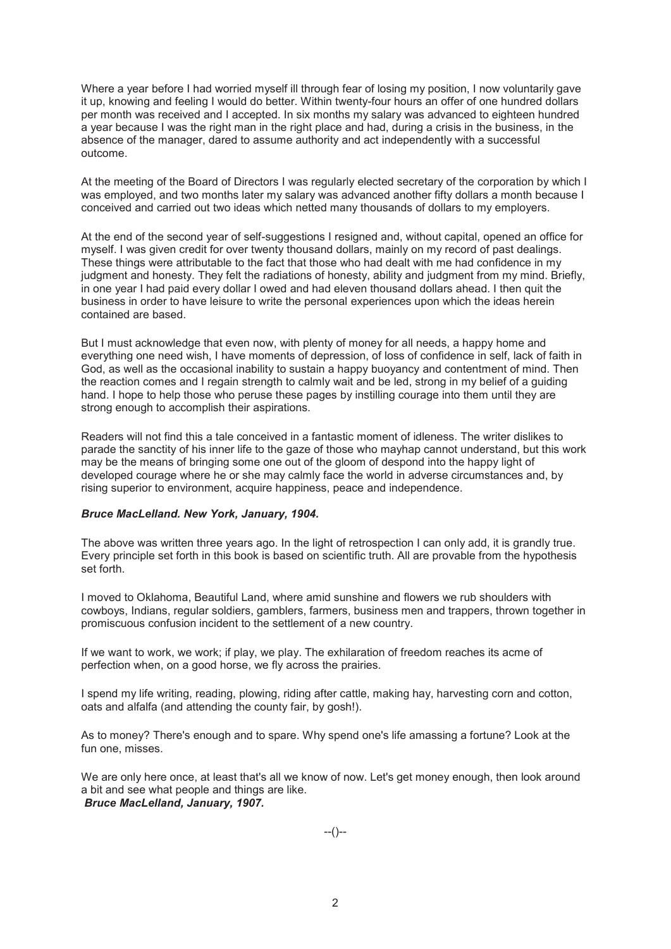Where a year before I had worried myself ill through fear of losing my position, I now voluntarily gave it up, knowing and feeling I would do better. Within twenty-four hours an offer of one hundred dollars per month was received and I accepted. In six months my salary was advanced to eighteen hundred a year because I was the right man in the right place and had, during a crisis in the business, in the absence of the manager, dared to assume authority and act independently with a successful outcome.

At the meeting of the Board of Directors I was regularly elected secretary of the corporation by which I was employed, and two months later my salary was advanced another fifty dollars a month because I conceived and carried out two ideas which netted many thousands of dollars to my employers.

At the end of the second year of self-suggestions I resigned and, without capital, opened an office for myself. I was given credit for over twenty thousand dollars, mainly on my record of past dealings. These things were attributable to the fact that those who had dealt with me had confidence in my judgment and honesty. They felt the radiations of honesty, ability and judgment from my mind. Briefly, in one year I had paid every dollar I owed and had eleven thousand dollars ahead. I then quit the business in order to have leisure to write the personal experiences upon which the ideas herein contained are based.

But I must acknowledge that even now, with plenty of money for all needs, a happy home and everything one need wish, I have moments of depression, of loss of confidence in self, lack of faith in God, as well as the occasional inability to sustain a happy buoyancy and contentment of mind. Then the reaction comes and I regain strength to calmly wait and be led, strong in my belief of a guiding hand. I hope to help those who peruse these pages by instilling courage into them until they are strong enough to accomplish their aspirations.

Readers will not find this a tale conceived in a fantastic moment of idleness. The writer dislikes to parade the sanctity of his inner life to the gaze of those who mayhap cannot understand, but this work may be the means of bringing some one out of the gloom of despond into the happy light of developed courage where he or she may calmly face the world in adverse circumstances and, by rising superior to environment, acquire happiness, peace and independence.

#### *Bruce MacLelland. New York, January, 1904.*

The above was written three years ago. In the light of retrospection I can only add, it is grandly true. Every principle set forth in this book is based on scientific truth. All are provable from the hypothesis set forth.

I moved to Oklahoma, Beautiful Land, where amid sunshine and flowers we rub shoulders with cowboys, Indians, regular soldiers, gamblers, farmers, business men and trappers, thrown together in promiscuous confusion incident to the settlement of a new country.

If we want to work, we work; if play, we play. The exhilaration of freedom reaches its acme of perfection when, on a good horse, we fly across the prairies.

I spend my life writing, reading, plowing, riding after cattle, making hay, harvesting corn and cotton, oats and alfalfa (and attending the county fair, by gosh!).

As to money? There's enough and to spare. Why spend one's life amassing a fortune? Look at the fun one, misses.

We are only here once, at least that's all we know of now. Let's get money enough, then look around a bit and see what people and things are like. *Bruce MacLelland, January, 1907.*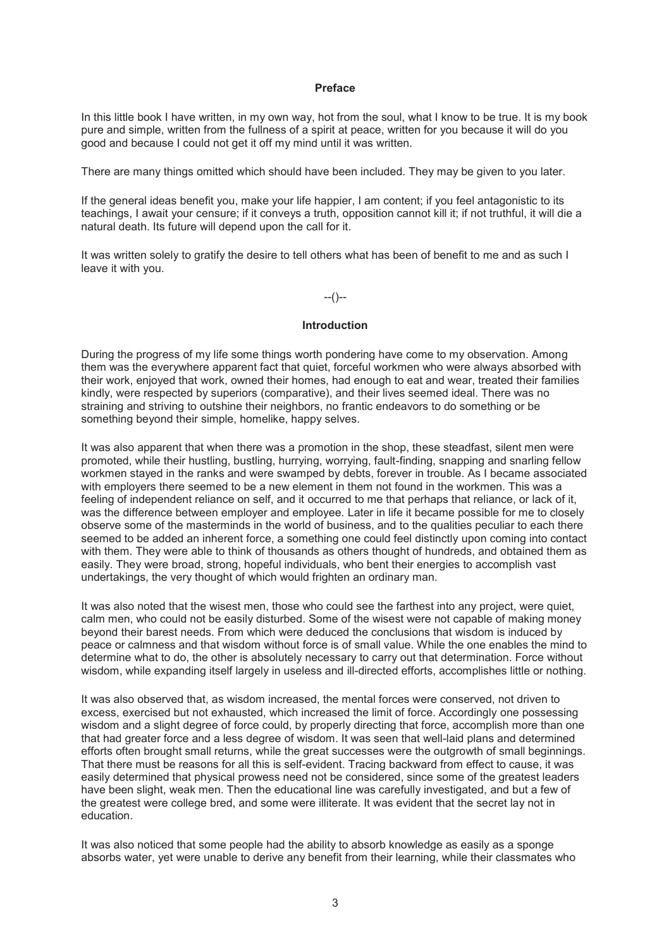#### **Preface**

In this little book I have written, in my own way, hot from the soul, what I know to be true. It is my book pure and simple, written from the fullness of a spirit at peace, written for you because it will do you good and because I could not get it off my mind until it was written.

There are many things omitted which should have been included. They may be given to you later.

If the general ideas benefit you, make your life happier, I am content; if you feel antagonistic to its teachings, I await your censure; if it conveys a truth, opposition cannot kill it; if not truthful, it will die a natural death. Its future will depend upon the call for it.

It was written solely to gratify the desire to tell others what has been of benefit to me and as such I leave it with you.

### --()--

#### **Introduction**

During the progress of my life some things worth pondering have come to my observation. Among them was the everywhere apparent fact that quiet, forceful workmen who were always absorbed with their work, enjoyed that work, owned their homes, had enough to eat and wear, treated their families kindly, were respected by superiors (comparative), and their lives seemed ideal. There was no straining and striving to outshine their neighbors, no frantic endeavors to do something or be something beyond their simple, homelike, happy selves.

It was also apparent that when there was a promotion in the shop, these steadfast, silent men were promoted, while their hustling, bustling, hurrying, worrying, fault-finding, snapping and snarling fellow workmen stayed in the ranks and were swamped by debts, forever in trouble. As I became associated with employers there seemed to be a new element in them not found in the workmen. This was a feeling of independent reliance on self, and it occurred to me that perhaps that reliance, or lack of it, was the difference between employer and employee. Later in life it became possible for me to closely observe some of the masterminds in the world of business, and to the qualities peculiar to each there seemed to be added an inherent force, a something one could feel distinctly upon coming into contact with them. They were able to think of thousands as others thought of hundreds, and obtained them as easily. They were broad, strong, hopeful individuals, who bent their energies to accomplish vast undertakings, the very thought of which would frighten an ordinary man.

It was also noted that the wisest men, those who could see the farthest into any project, were quiet, calm men, who could not be easily disturbed. Some of the wisest were not capable of making money beyond their barest needs. From which were deduced the conclusions that wisdom is induced by peace or calmness and that wisdom without force is of small value. While the one enables the mind to determine what to do, the other is absolutely necessary to carry out that determination. Force without wisdom, while expanding itself largely in useless and ill-directed efforts, accomplishes little or nothing.

It was also observed that, as wisdom increased, the mental forces were conserved, not driven to excess, exercised but not exhausted, which increased the limit of force. Accordingly one possessing wisdom and a slight degree of force could, by properly directing that force, accomplish more than one that had greater force and a less degree of wisdom. It was seen that well-laid plans and determined efforts often brought small returns, while the great successes were the outgrowth of small beginnings. That there must be reasons for all this is self-evident. Tracing backward from effect to cause, it was easily determined that physical prowess need not be considered, since some of the greatest leaders have been slight, weak men. Then the educational line was carefully investigated, and but a few of the greatest were college bred, and some were illiterate. It was evident that the secret lay not in education.

It was also noticed that some people had the ability to absorb knowledge as easily as a sponge absorbs water, yet were unable to derive any benefit from their learning, while their classmates who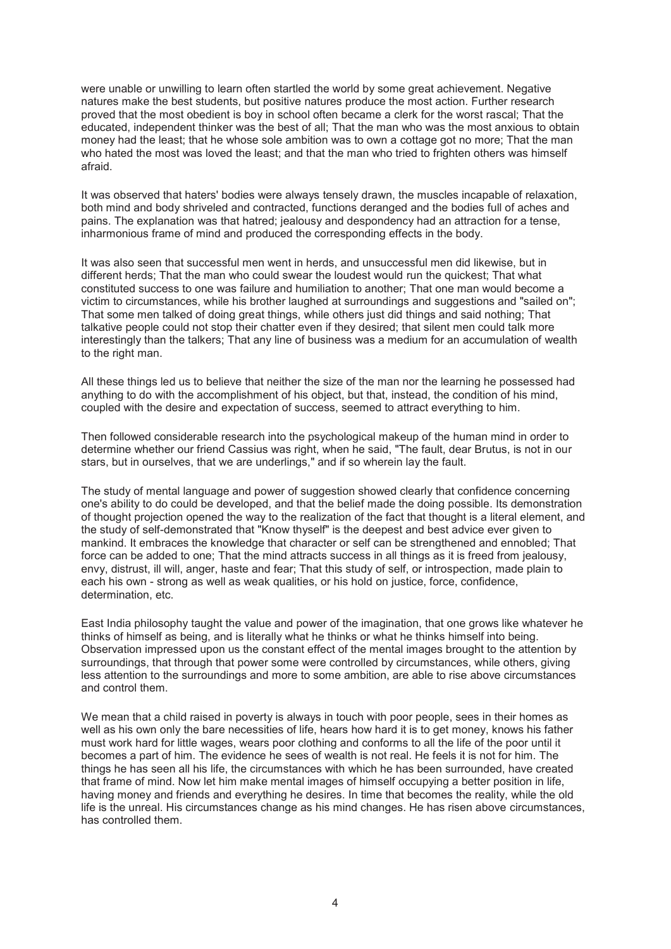were unable or unwilling to learn often startled the world by some great achievement. Negative natures make the best students, but positive natures produce the most action. Further research proved that the most obedient is boy in school often became a clerk for the worst rascal; That the educated, independent thinker was the best of all; That the man who was the most anxious to obtain money had the least; that he whose sole ambition was to own a cottage got no more; That the man who hated the most was loved the least; and that the man who tried to frighten others was himself afraid.

It was observed that haters' bodies were always tensely drawn, the muscles incapable of relaxation, both mind and body shriveled and contracted, functions deranged and the bodies full of aches and pains. The explanation was that hatred; jealousy and despondency had an attraction for a tense, inharmonious frame of mind and produced the corresponding effects in the body.

It was also seen that successful men went in herds, and unsuccessful men did likewise, but in different herds; That the man who could swear the loudest would run the quickest; That what constituted success to one was failure and humiliation to another; That one man would become a victim to circumstances, while his brother laughed at surroundings and suggestions and "sailed on"; That some men talked of doing great things, while others just did things and said nothing; That talkative people could not stop their chatter even if they desired; that silent men could talk more interestingly than the talkers; That any line of business was a medium for an accumulation of wealth to the right man.

All these things led us to believe that neither the size of the man nor the learning he possessed had anything to do with the accomplishment of his object, but that, instead, the condition of his mind, coupled with the desire and expectation of success, seemed to attract everything to him.

Then followed considerable research into the psychological makeup of the human mind in order to determine whether our friend Cassius was right, when he said, "The fault, dear Brutus, is not in our stars, but in ourselves, that we are underlings," and if so wherein lay the fault.

The study of mental language and power of suggestion showed clearly that confidence concerning one's ability to do could be developed, and that the belief made the doing possible. Its demonstration of thought projection opened the way to the realization of the fact that thought is a literal element, and the study of self-demonstrated that "Know thyself" is the deepest and best advice ever given to mankind. It embraces the knowledge that character or self can be strengthened and ennobled; That force can be added to one; That the mind attracts success in all things as it is freed from jealousy, envy, distrust, ill will, anger, haste and fear; That this study of self, or introspection, made plain to each his own - strong as well as weak qualities, or his hold on justice, force, confidence, determination, etc.

East India philosophy taught the value and power of the imagination, that one grows like whatever he thinks of himself as being, and is literally what he thinks or what he thinks himself into being. Observation impressed upon us the constant effect of the mental images brought to the attention by surroundings, that through that power some were controlled by circumstances, while others, giving less attention to the surroundings and more to some ambition, are able to rise above circumstances and control them.

We mean that a child raised in poverty is always in touch with poor people, sees in their homes as well as his own only the bare necessities of life, hears how hard it is to get money, knows his father must work hard for little wages, wears poor clothing and conforms to all the life of the poor until it becomes a part of him. The evidence he sees of wealth is not real. He feels it is not for him. The things he has seen all his life, the circumstances with which he has been surrounded, have created that frame of mind. Now let him make mental images of himself occupying a better position in life, having money and friends and everything he desires. In time that becomes the reality, while the old life is the unreal. His circumstances change as his mind changes. He has risen above circumstances, has controlled them.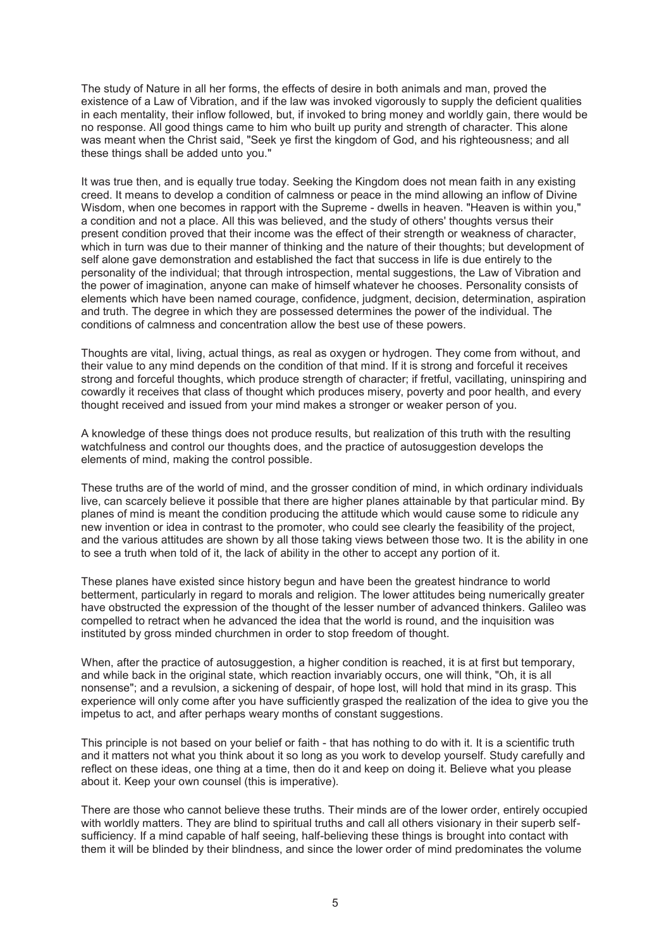The study of Nature in all her forms, the effects of desire in both animals and man, proved the existence of a Law of Vibration, and if the law was invoked vigorously to supply the deficient qualities in each mentality, their inflow followed, but, if invoked to bring money and worldly gain, there would be no response. All good things came to him who built up purity and strength of character. This alone was meant when the Christ said, "Seek ye first the kingdom of God, and his righteousness; and all these things shall be added unto you."

It was true then, and is equally true today. Seeking the Kingdom does not mean faith in any existing creed. It means to develop a condition of calmness or peace in the mind allowing an inflow of Divine Wisdom, when one becomes in rapport with the Supreme - dwells in heaven. "Heaven is within you," a condition and not a place. All this was believed, and the study of others' thoughts versus their present condition proved that their income was the effect of their strength or weakness of character, which in turn was due to their manner of thinking and the nature of their thoughts; but development of self alone gave demonstration and established the fact that success in life is due entirely to the personality of the individual; that through introspection, mental suggestions, the Law of Vibration and the power of imagination, anyone can make of himself whatever he chooses. Personality consists of elements which have been named courage, confidence, judgment, decision, determination, aspiration and truth. The degree in which they are possessed determines the power of the individual. The conditions of calmness and concentration allow the best use of these powers.

Thoughts are vital, living, actual things, as real as oxygen or hydrogen. They come from without, and their value to any mind depends on the condition of that mind. If it is strong and forceful it receives strong and forceful thoughts, which produce strength of character; if fretful, vacillating, uninspiring and cowardly it receives that class of thought which produces misery, poverty and poor health, and every thought received and issued from your mind makes a stronger or weaker person of you.

A knowledge of these things does not produce results, but realization of this truth with the resulting watchfulness and control our thoughts does, and the practice of autosuggestion develops the elements of mind, making the control possible.

These truths are of the world of mind, and the grosser condition of mind, in which ordinary individuals live, can scarcely believe it possible that there are higher planes attainable by that particular mind. By planes of mind is meant the condition producing the attitude which would cause some to ridicule any new invention or idea in contrast to the promoter, who could see clearly the feasibility of the project, and the various attitudes are shown by all those taking views between those two. It is the ability in one to see a truth when told of it, the lack of ability in the other to accept any portion of it.

These planes have existed since history begun and have been the greatest hindrance to world betterment, particularly in regard to morals and religion. The lower attitudes being numerically greater have obstructed the expression of the thought of the lesser number of advanced thinkers. Galileo was compelled to retract when he advanced the idea that the world is round, and the inquisition was instituted by gross minded churchmen in order to stop freedom of thought.

When, after the practice of autosuggestion, a higher condition is reached, it is at first but temporary, and while back in the original state, which reaction invariably occurs, one will think, "Oh, it is all nonsense"; and a revulsion, a sickening of despair, of hope lost, will hold that mind in its grasp. This experience will only come after you have sufficiently grasped the realization of the idea to give you the impetus to act, and after perhaps weary months of constant suggestions.

This principle is not based on your belief or faith - that has nothing to do with it. It is a scientific truth and it matters not what you think about it so long as you work to develop yourself. Study carefully and reflect on these ideas, one thing at a time, then do it and keep on doing it. Believe what you please about it. Keep your own counsel (this is imperative).

There are those who cannot believe these truths. Their minds are of the lower order, entirely occupied with worldly matters. They are blind to spiritual truths and call all others visionary in their superb selfsufficiency. If a mind capable of half seeing, half-believing these things is brought into contact with them it will be blinded by their blindness, and since the lower order of mind predominates the volume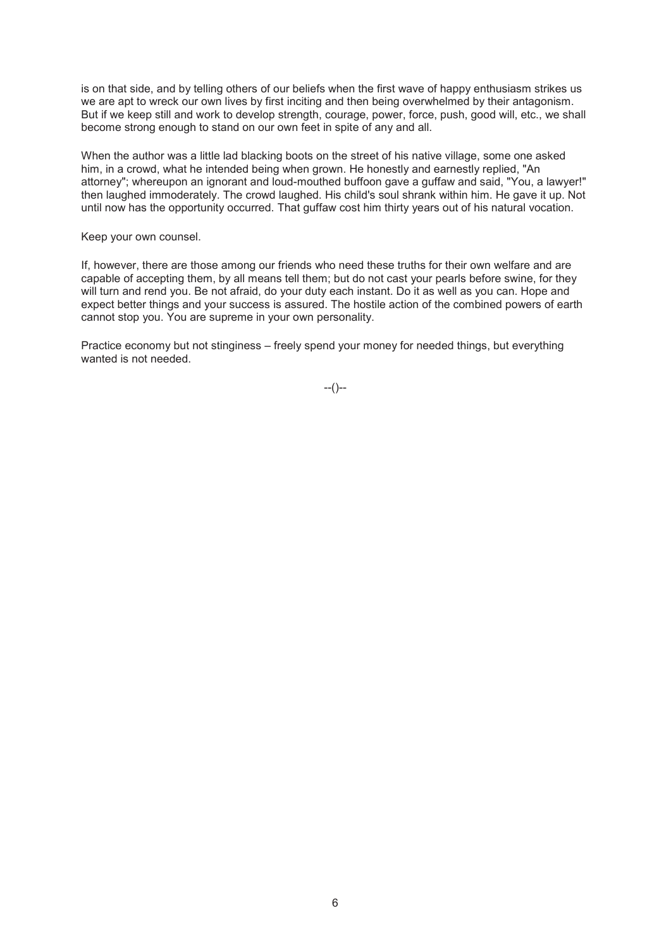is on that side, and by telling others of our beliefs when the first wave of happy enthusiasm strikes us we are apt to wreck our own lives by first inciting and then being overwhelmed by their antagonism. But if we keep still and work to develop strength, courage, power, force, push, good will, etc., we shall become strong enough to stand on our own feet in spite of any and all.

When the author was a little lad blacking boots on the street of his native village, some one asked him, in a crowd, what he intended being when grown. He honestly and earnestly replied, "An attorney"; whereupon an ignorant and loud-mouthed buffoon gave a guffaw and said, "You, a lawyer!" then laughed immoderately. The crowd laughed. His child's soul shrank within him. He gave it up. Not until now has the opportunity occurred. That guffaw cost him thirty years out of his natural vocation.

Keep your own counsel.

If, however, there are those among our friends who need these truths for their own welfare and are capable of accepting them, by all means tell them; but do not cast your pearls before swine, for they will turn and rend you. Be not afraid, do your duty each instant. Do it as well as you can. Hope and expect better things and your success is assured. The hostile action of the combined powers of earth cannot stop you. You are supreme in your own personality.

Practice economy but not stinginess – freely spend your money for needed things, but everything wanted is not needed.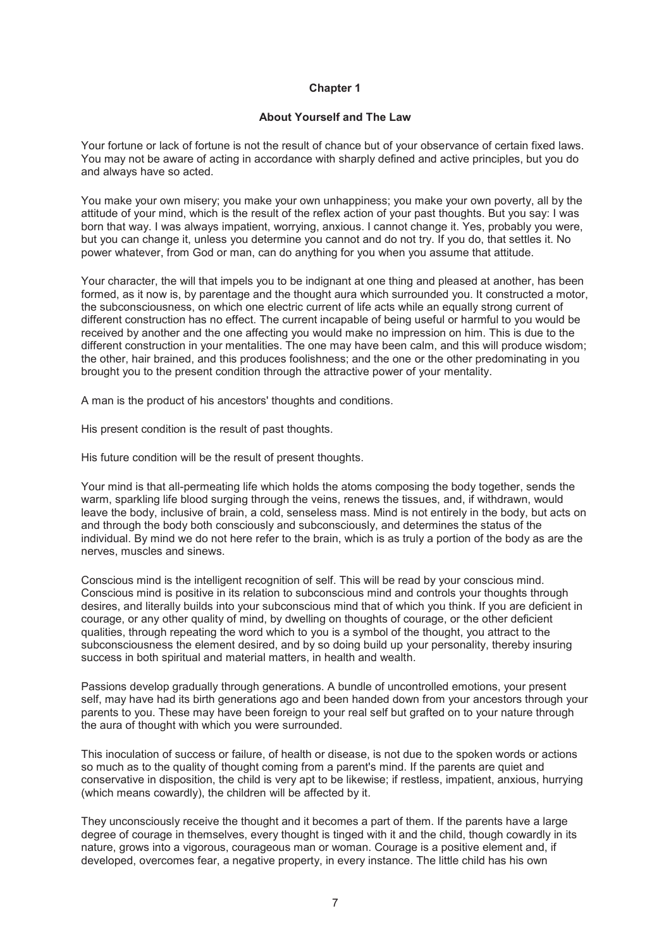### **About Yourself and The Law**

Your fortune or lack of fortune is not the result of chance but of your observance of certain fixed laws. You may not be aware of acting in accordance with sharply defined and active principles, but you do and always have so acted.

You make your own misery; you make your own unhappiness; you make your own poverty, all by the attitude of your mind, which is the result of the reflex action of your past thoughts. But you say: I was born that way. I was always impatient, worrying, anxious. I cannot change it. Yes, probably you were, but you can change it, unless you determine you cannot and do not try. If you do, that settles it. No power whatever, from God or man, can do anything for you when you assume that attitude.

Your character, the will that impels you to be indignant at one thing and pleased at another, has been formed, as it now is, by parentage and the thought aura which surrounded you. It constructed a motor, the subconsciousness, on which one electric current of life acts while an equally strong current of different construction has no effect. The current incapable of being useful or harmful to you would be received by another and the one affecting you would make no impression on him. This is due to the different construction in your mentalities. The one may have been calm, and this will produce wisdom; the other, hair brained, and this produces foolishness; and the one or the other predominating in you brought you to the present condition through the attractive power of your mentality.

A man is the product of his ancestors' thoughts and conditions.

His present condition is the result of past thoughts.

His future condition will be the result of present thoughts.

Your mind is that all-permeating life which holds the atoms composing the body together, sends the warm, sparkling life blood surging through the veins, renews the tissues, and, if withdrawn, would leave the body, inclusive of brain, a cold, senseless mass. Mind is not entirely in the body, but acts on and through the body both consciously and subconsciously, and determines the status of the individual. By mind we do not here refer to the brain, which is as truly a portion of the body as are the nerves, muscles and sinews.

Conscious mind is the intelligent recognition of self. This will be read by your conscious mind. Conscious mind is positive in its relation to subconscious mind and controls your thoughts through desires, and literally builds into your subconscious mind that of which you think. If you are deficient in courage, or any other quality of mind, by dwelling on thoughts of courage, or the other deficient qualities, through repeating the word which to you is a symbol of the thought, you attract to the subconsciousness the element desired, and by so doing build up your personality, thereby insuring success in both spiritual and material matters, in health and wealth.

Passions develop gradually through generations. A bundle of uncontrolled emotions, your present self, may have had its birth generations ago and been handed down from your ancestors through your parents to you. These may have been foreign to your real self but grafted on to your nature through the aura of thought with which you were surrounded.

This inoculation of success or failure, of health or disease, is not due to the spoken words or actions so much as to the quality of thought coming from a parent's mind. If the parents are quiet and conservative in disposition, the child is very apt to be likewise; if restless, impatient, anxious, hurrying (which means cowardly), the children will be affected by it.

They unconsciously receive the thought and it becomes a part of them. If the parents have a large degree of courage in themselves, every thought is tinged with it and the child, though cowardly in its nature, grows into a vigorous, courageous man or woman. Courage is a positive element and, if developed, overcomes fear, a negative property, in every instance. The little child has his own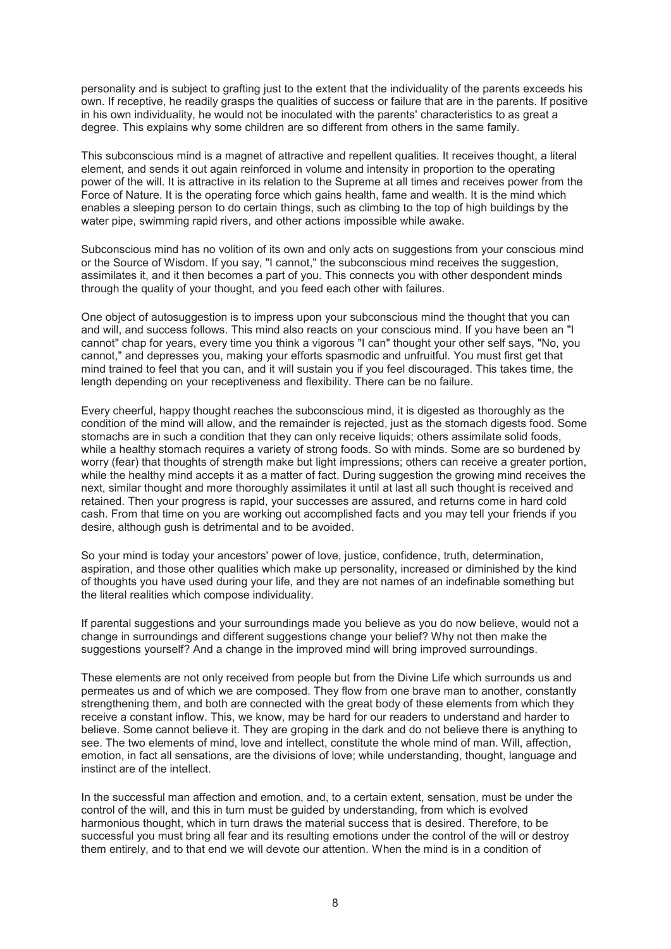personality and is subject to grafting just to the extent that the individuality of the parents exceeds his own. If receptive, he readily grasps the qualities of success or failure that are in the parents. If positive in his own individuality, he would not be inoculated with the parents' characteristics to as great a degree. This explains why some children are so different from others in the same family.

This subconscious mind is a magnet of attractive and repellent qualities. It receives thought, a literal element, and sends it out again reinforced in volume and intensity in proportion to the operating power of the will. It is attractive in its relation to the Supreme at all times and receives power from the Force of Nature. It is the operating force which gains health, fame and wealth. It is the mind which enables a sleeping person to do certain things, such as climbing to the top of high buildings by the water pipe, swimming rapid rivers, and other actions impossible while awake.

Subconscious mind has no volition of its own and only acts on suggestions from your conscious mind or the Source of Wisdom. If you say, "I cannot," the subconscious mind receives the suggestion, assimilates it, and it then becomes a part of you. This connects you with other despondent minds through the quality of your thought, and you feed each other with failures.

One object of autosuggestion is to impress upon your subconscious mind the thought that you can and will, and success follows. This mind also reacts on your conscious mind. If you have been an "I cannot" chap for years, every time you think a vigorous "I can" thought your other self says, "No, you cannot," and depresses you, making your efforts spasmodic and unfruitful. You must first get that mind trained to feel that you can, and it will sustain you if you feel discouraged. This takes time, the length depending on your receptiveness and flexibility. There can be no failure.

Every cheerful, happy thought reaches the subconscious mind, it is digested as thoroughly as the condition of the mind will allow, and the remainder is rejected, just as the stomach digests food. Some stomachs are in such a condition that they can only receive liquids; others assimilate solid foods, while a healthy stomach requires a variety of strong foods. So with minds. Some are so burdened by worry (fear) that thoughts of strength make but light impressions; others can receive a greater portion, while the healthy mind accepts it as a matter of fact. During suggestion the growing mind receives the next, similar thought and more thoroughly assimilates it until at last all such thought is received and retained. Then your progress is rapid, your successes are assured, and returns come in hard cold cash. From that time on you are working out accomplished facts and you may tell your friends if you desire, although gush is detrimental and to be avoided.

So your mind is today your ancestors' power of love, justice, confidence, truth, determination, aspiration, and those other qualities which make up personality, increased or diminished by the kind of thoughts you have used during your life, and they are not names of an indefinable something but the literal realities which compose individuality.

If parental suggestions and your surroundings made you believe as you do now believe, would not a change in surroundings and different suggestions change your belief? Why not then make the suggestions yourself? And a change in the improved mind will bring improved surroundings.

These elements are not only received from people but from the Divine Life which surrounds us and permeates us and of which we are composed. They flow from one brave man to another, constantly strengthening them, and both are connected with the great body of these elements from which they receive a constant inflow. This, we know, may be hard for our readers to understand and harder to believe. Some cannot believe it. They are groping in the dark and do not believe there is anything to see. The two elements of mind, love and intellect, constitute the whole mind of man. Will, affection, emotion, in fact all sensations, are the divisions of love; while understanding, thought, language and instinct are of the intellect.

In the successful man affection and emotion, and, to a certain extent, sensation, must be under the control of the will, and this in turn must be guided by understanding, from which is evolved harmonious thought, which in turn draws the material success that is desired. Therefore, to be successful you must bring all fear and its resulting emotions under the control of the will or destroy them entirely, and to that end we will devote our attention. When the mind is in a condition of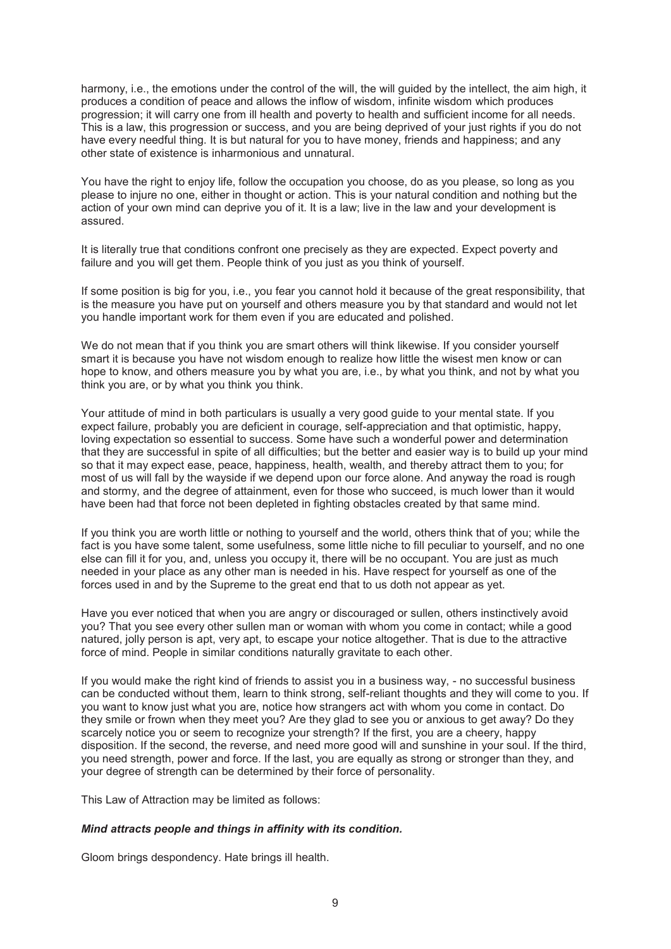harmony, i.e., the emotions under the control of the will, the will guided by the intellect, the aim high, it produces a condition of peace and allows the inflow of wisdom, infinite wisdom which produces progression; it will carry one from ill health and poverty to health and sufficient income for all needs. This is a law, this progression or success, and you are being deprived of your just rights if you do not have every needful thing. It is but natural for you to have money, friends and happiness; and any other state of existence is inharmonious and unnatural.

You have the right to enjoy life, follow the occupation you choose, do as you please, so long as you please to injure no one, either in thought or action. This is your natural condition and nothing but the action of your own mind can deprive you of it. It is a law; live in the law and your development is assured.

It is literally true that conditions confront one precisely as they are expected. Expect poverty and failure and you will get them. People think of you just as you think of yourself.

If some position is big for you, i.e., you fear you cannot hold it because of the great responsibility, that is the measure you have put on yourself and others measure you by that standard and would not let you handle important work for them even if you are educated and polished.

We do not mean that if you think you are smart others will think likewise. If you consider yourself smart it is because you have not wisdom enough to realize how little the wisest men know or can hope to know, and others measure you by what you are, i.e., by what you think, and not by what you think you are, or by what you think you think.

Your attitude of mind in both particulars is usually a very good guide to your mental state. If you expect failure, probably you are deficient in courage, self-appreciation and that optimistic, happy, loving expectation so essential to success. Some have such a wonderful power and determination that they are successful in spite of all difficulties; but the better and easier way is to build up your mind so that it may expect ease, peace, happiness, health, wealth, and thereby attract them to you; for most of us will fall by the wayside if we depend upon our force alone. And anyway the road is rough and stormy, and the degree of attainment, even for those who succeed, is much lower than it would have been had that force not been depleted in fighting obstacles created by that same mind.

If you think you are worth little or nothing to yourself and the world, others think that of you; while the fact is you have some talent, some usefulness, some little niche to fill peculiar to yourself, and no one else can fill it for you, and, unless you occupy it, there will be no occupant. You are just as much needed in your place as any other man is needed in his. Have respect for yourself as one of the forces used in and by the Supreme to the great end that to us doth not appear as yet.

Have you ever noticed that when you are angry or discouraged or sullen, others instinctively avoid you? That you see every other sullen man or woman with whom you come in contact; while a good natured, jolly person is apt, very apt, to escape your notice altogether. That is due to the attractive force of mind. People in similar conditions naturally gravitate to each other.

If you would make the right kind of friends to assist you in a business way, - no successful business can be conducted without them, learn to think strong, self-reliant thoughts and they will come to you. If you want to know just what you are, notice how strangers act with whom you come in contact. Do they smile or frown when they meet you? Are they glad to see you or anxious to get away? Do they scarcely notice you or seem to recognize your strength? If the first, you are a cheery, happy disposition. If the second, the reverse, and need more good will and sunshine in your soul. If the third, you need strength, power and force. If the last, you are equally as strong or stronger than they, and your degree of strength can be determined by their force of personality.

This Law of Attraction may be limited as follows:

#### *Mind attracts people and things in affinity with its condition.*

Gloom brings despondency. Hate brings ill health.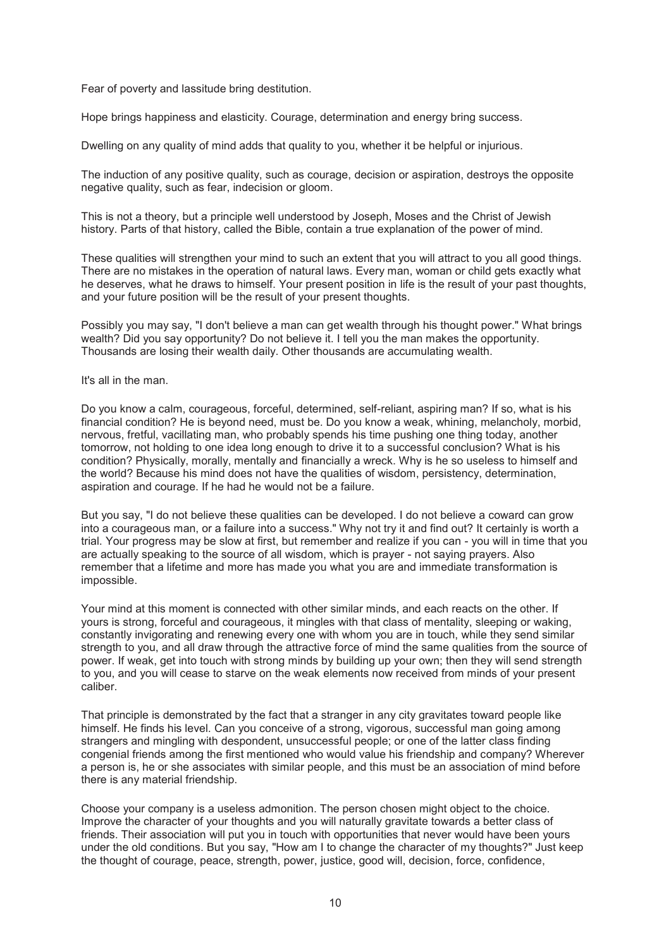Fear of poverty and lassitude bring destitution.

Hope brings happiness and elasticity. Courage, determination and energy bring success.

Dwelling on any quality of mind adds that quality to you, whether it be helpful or injurious.

The induction of any positive quality, such as courage, decision or aspiration, destroys the opposite negative quality, such as fear, indecision or gloom.

This is not a theory, but a principle well understood by Joseph, Moses and the Christ of Jewish history. Parts of that history, called the Bible, contain a true explanation of the power of mind.

These qualities will strengthen your mind to such an extent that you will attract to you all good things. There are no mistakes in the operation of natural laws. Every man, woman or child gets exactly what he deserves, what he draws to himself. Your present position in life is the result of your past thoughts, and your future position will be the result of your present thoughts.

Possibly you may say, "I don't believe a man can get wealth through his thought power." What brings wealth? Did you say opportunity? Do not believe it. I tell you the man makes the opportunity. Thousands are losing their wealth daily. Other thousands are accumulating wealth.

#### It's all in the man.

Do you know a calm, courageous, forceful, determined, self-reliant, aspiring man? If so, what is his financial condition? He is beyond need, must be. Do you know a weak, whining, melancholy, morbid, nervous, fretful, vacillating man, who probably spends his time pushing one thing today, another tomorrow, not holding to one idea long enough to drive it to a successful conclusion? What is his condition? Physically, morally, mentally and financially a wreck. Why is he so useless to himself and the world? Because his mind does not have the qualities of wisdom, persistency, determination, aspiration and courage. If he had he would not be a failure.

But you say, "I do not believe these qualities can be developed. I do not believe a coward can grow into a courageous man, or a failure into a success." Why not try it and find out? It certainly is worth a trial. Your progress may be slow at first, but remember and realize if you can - you will in time that you are actually speaking to the source of all wisdom, which is prayer - not saying prayers. Also remember that a lifetime and more has made you what you are and immediate transformation is impossible.

Your mind at this moment is connected with other similar minds, and each reacts on the other. If yours is strong, forceful and courageous, it mingles with that class of mentality, sleeping or waking, constantly invigorating and renewing every one with whom you are in touch, while they send similar strength to you, and all draw through the attractive force of mind the same qualities from the source of power. If weak, get into touch with strong minds by building up your own; then they will send strength to you, and you will cease to starve on the weak elements now received from minds of your present caliber.

That principle is demonstrated by the fact that a stranger in any city gravitates toward people like himself. He finds his level. Can you conceive of a strong, vigorous, successful man going among strangers and mingling with despondent, unsuccessful people; or one of the latter class finding congenial friends among the first mentioned who would value his friendship and company? Wherever a person is, he or she associates with similar people, and this must be an association of mind before there is any material friendship.

Choose your company is a useless admonition. The person chosen might object to the choice. Improve the character of your thoughts and you will naturally gravitate towards a better class of friends. Their association will put you in touch with opportunities that never would have been yours under the old conditions. But you say, "How am I to change the character of my thoughts?" Just keep the thought of courage, peace, strength, power, justice, good will, decision, force, confidence,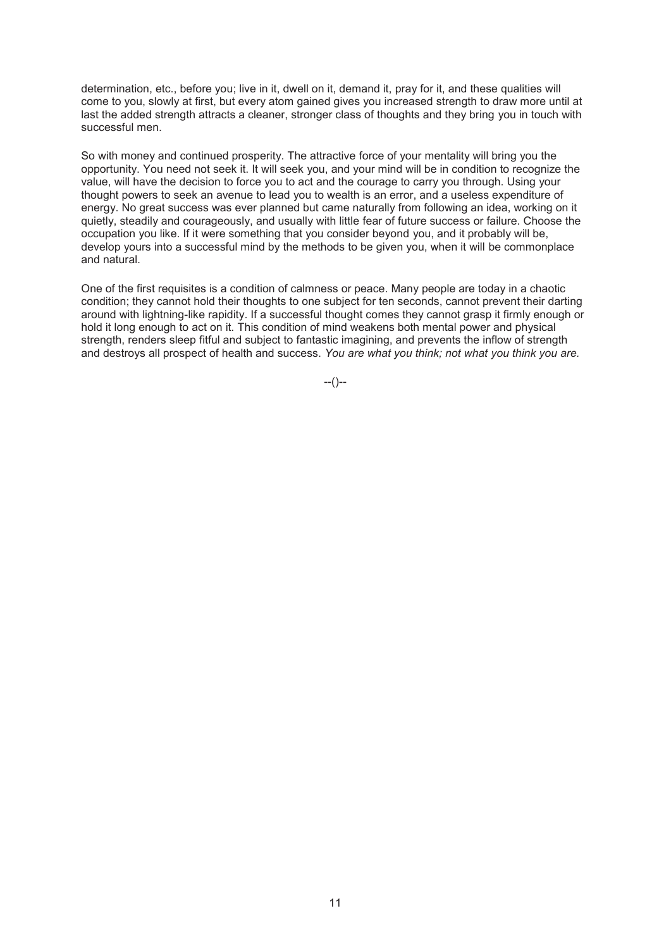determination, etc., before you; live in it, dwell on it, demand it, pray for it, and these qualities will come to you, slowly at first, but every atom gained gives you increased strength to draw more until at last the added strength attracts a cleaner, stronger class of thoughts and they bring you in touch with successful men.

So with money and continued prosperity. The attractive force of your mentality will bring you the opportunity. You need not seek it. It will seek you, and your mind will be in condition to recognize the value, will have the decision to force you to act and the courage to carry you through. Using your thought powers to seek an avenue to lead you to wealth is an error, and a useless expenditure of energy. No great success was ever planned but came naturally from following an idea, working on it quietly, steadily and courageously, and usually with little fear of future success or failure. Choose the occupation you like. If it were something that you consider beyond you, and it probably will be, develop yours into a successful mind by the methods to be given you, when it will be commonplace and natural.

One of the first requisites is a condition of calmness or peace. Many people are today in a chaotic condition; they cannot hold their thoughts to one subject for ten seconds, cannot prevent their darting around with lightning-like rapidity. If a successful thought comes they cannot grasp it firmly enough or hold it long enough to act on it. This condition of mind weakens both mental power and physical strength, renders sleep fitful and subject to fantastic imagining, and prevents the inflow of strength and destroys all prospect of health and success. *You are what you think; not what you think you are.*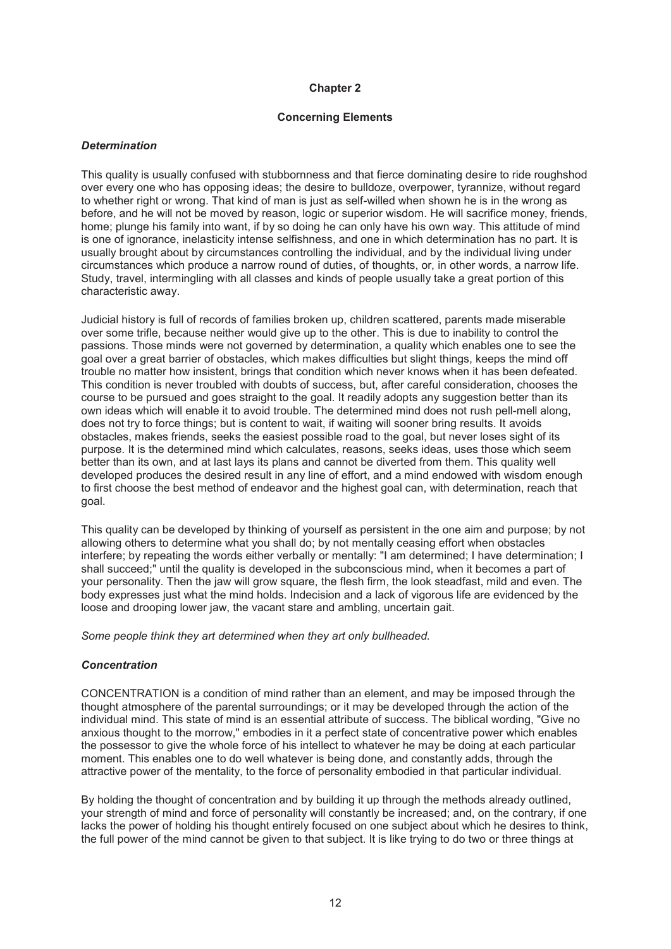## **Concerning Elements**

## *Determination*

This quality is usually confused with stubbornness and that fierce dominating desire to ride roughshod over every one who has opposing ideas; the desire to bulldoze, overpower, tyrannize, without regard to whether right or wrong. That kind of man is just as self-willed when shown he is in the wrong as before, and he will not be moved by reason, logic or superior wisdom. He will sacrifice money, friends, home; plunge his family into want, if by so doing he can only have his own way. This attitude of mind is one of ignorance, inelasticity intense selfishness, and one in which determination has no part. It is usually brought about by circumstances controlling the individual, and by the individual living under circumstances which produce a narrow round of duties, of thoughts, or, in other words, a narrow life. Study, travel, intermingling with all classes and kinds of people usually take a great portion of this characteristic away.

Judicial history is full of records of families broken up, children scattered, parents made miserable over some trifle, because neither would give up to the other. This is due to inability to control the passions. Those minds were not governed by determination, a quality which enables one to see the goal over a great barrier of obstacles, which makes difficulties but slight things, keeps the mind off trouble no matter how insistent, brings that condition which never knows when it has been defeated. This condition is never troubled with doubts of success, but, after careful consideration, chooses the course to be pursued and goes straight to the goal. It readily adopts any suggestion better than its own ideas which will enable it to avoid trouble. The determined mind does not rush pell-mell along, does not try to force things; but is content to wait, if waiting will sooner bring results. It avoids obstacles, makes friends, seeks the easiest possible road to the goal, but never loses sight of its purpose. It is the determined mind which calculates, reasons, seeks ideas, uses those which seem better than its own, and at last lays its plans and cannot be diverted from them. This quality well developed produces the desired result in any line of effort, and a mind endowed with wisdom enough to first choose the best method of endeavor and the highest goal can, with determination, reach that goal.

This quality can be developed by thinking of yourself as persistent in the one aim and purpose; by not allowing others to determine what you shall do; by not mentally ceasing effort when obstacles interfere; by repeating the words either verbally or mentally: "I am determined; I have determination; I shall succeed;" until the quality is developed in the subconscious mind, when it becomes a part of your personality. Then the jaw will grow square, the flesh firm, the look steadfast, mild and even. The body expresses just what the mind holds. Indecision and a lack of vigorous life are evidenced by the loose and drooping lower jaw, the vacant stare and ambling, uncertain gait.

*Some people think they art determined when they art only bullheaded.* 

## *Concentration*

CONCENTRATION is a condition of mind rather than an element, and may be imposed through the thought atmosphere of the parental surroundings; or it may be developed through the action of the individual mind. This state of mind is an essential attribute of success. The biblical wording, "Give no anxious thought to the morrow," embodies in it a perfect state of concentrative power which enables the possessor to give the whole force of his intellect to whatever he may be doing at each particular moment. This enables one to do well whatever is being done, and constantly adds, through the attractive power of the mentality, to the force of personality embodied in that particular individual.

By holding the thought of concentration and by building it up through the methods already outlined, your strength of mind and force of personality will constantly be increased; and, on the contrary, if one lacks the power of holding his thought entirely focused on one subject about which he desires to think, the full power of the mind cannot be given to that subject. It is like trying to do two or three things at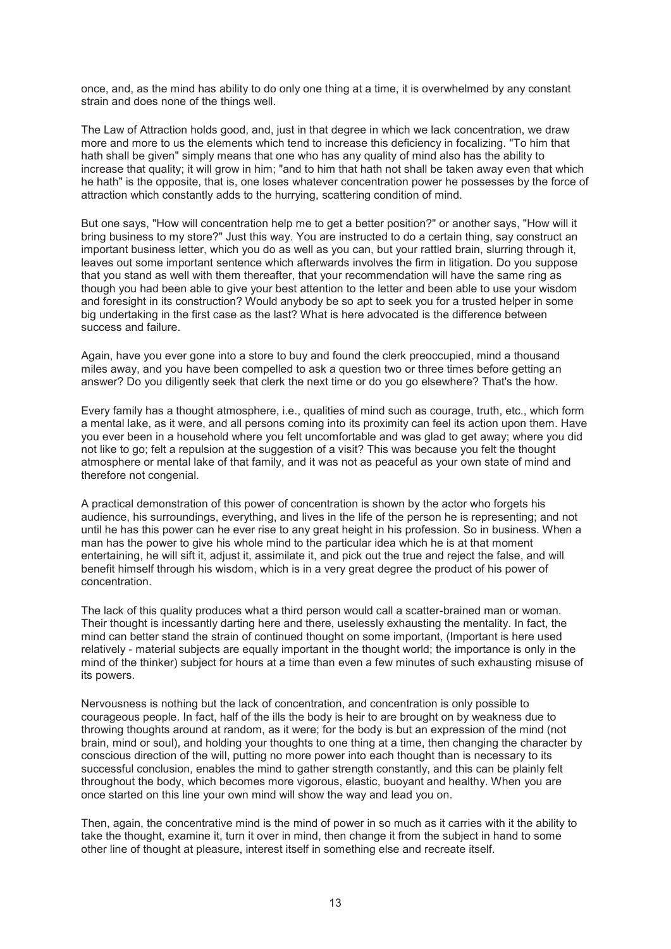once, and, as the mind has ability to do only one thing at a time, it is overwhelmed by any constant strain and does none of the things well.

The Law of Attraction holds good, and, just in that degree in which we lack concentration, we draw more and more to us the elements which tend to increase this deficiency in focalizing. "To him that hath shall be given" simply means that one who has any quality of mind also has the ability to increase that quality; it will grow in him; "and to him that hath not shall be taken away even that which he hath" is the opposite, that is, one loses whatever concentration power he possesses by the force of attraction which constantly adds to the hurrying, scattering condition of mind.

But one says, "How will concentration help me to get a better position?" or another says, "How will it bring business to my store?" Just this way. You are instructed to do a certain thing, say construct an important business letter, which you do as well as you can, but your rattled brain, slurring through it, leaves out some important sentence which afterwards involves the firm in litigation. Do you suppose that you stand as well with them thereafter, that your recommendation will have the same ring as though you had been able to give your best attention to the letter and been able to use your wisdom and foresight in its construction? Would anybody be so apt to seek you for a trusted helper in some big undertaking in the first case as the last? What is here advocated is the difference between success and failure.

Again, have you ever gone into a store to buy and found the clerk preoccupied, mind a thousand miles away, and you have been compelled to ask a question two or three times before getting an answer? Do you diligently seek that clerk the next time or do you go elsewhere? That's the how.

Every family has a thought atmosphere, i.e., qualities of mind such as courage, truth, etc., which form a mental lake, as it were, and all persons coming into its proximity can feel its action upon them. Have you ever been in a household where you felt uncomfortable and was glad to get away; where you did not like to go; felt a repulsion at the suggestion of a visit? This was because you felt the thought atmosphere or mental lake of that family, and it was not as peaceful as your own state of mind and therefore not congenial.

A practical demonstration of this power of concentration is shown by the actor who forgets his audience, his surroundings, everything, and lives in the life of the person he is representing; and not until he has this power can he ever rise to any great height in his profession. So in business. When a man has the power to give his whole mind to the particular idea which he is at that moment entertaining, he will sift it, adjust it, assimilate it, and pick out the true and reject the false, and will benefit himself through his wisdom, which is in a very great degree the product of his power of concentration.

The lack of this quality produces what a third person would call a scatter-brained man or woman. Their thought is incessantly darting here and there, uselessly exhausting the mentality. In fact, the mind can better stand the strain of continued thought on some important, (Important is here used relatively - material subjects are equally important in the thought world; the importance is only in the mind of the thinker) subject for hours at a time than even a few minutes of such exhausting misuse of its powers.

Nervousness is nothing but the lack of concentration, and concentration is only possible to courageous people. In fact, half of the ills the body is heir to are brought on by weakness due to throwing thoughts around at random, as it were; for the body is but an expression of the mind (not brain, mind or soul), and holding your thoughts to one thing at a time, then changing the character by conscious direction of the will, putting no more power into each thought than is necessary to its successful conclusion, enables the mind to gather strength constantly, and this can be plainly felt throughout the body, which becomes more vigorous, elastic, buoyant and healthy. When you are once started on this line your own mind will show the way and lead you on.

Then, again, the concentrative mind is the mind of power in so much as it carries with it the ability to take the thought, examine it, turn it over in mind, then change it from the subject in hand to some other line of thought at pleasure, interest itself in something else and recreate itself.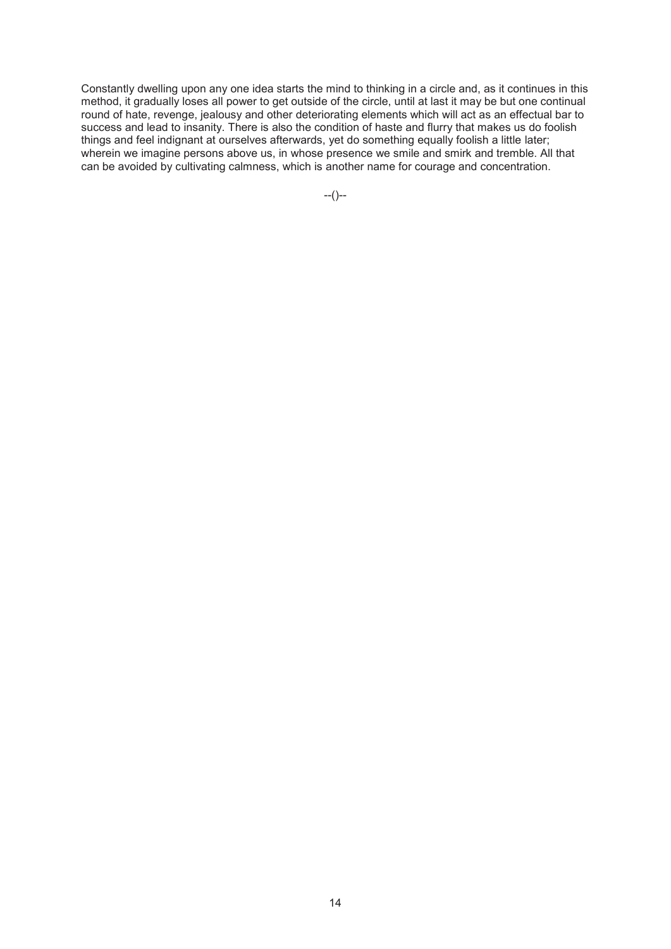Constantly dwelling upon any one idea starts the mind to thinking in a circle and, as it continues in this method, it gradually loses all power to get outside of the circle, until at last it may be but one continual round of hate, revenge, jealousy and other deteriorating elements which will act as an effectual bar to success and lead to insanity. There is also the condition of haste and flurry that makes us do foolish things and feel indignant at ourselves afterwards, yet do something equally foolish a little later; wherein we imagine persons above us, in whose presence we smile and smirk and tremble. All that can be avoided by cultivating calmness, which is another name for courage and concentration.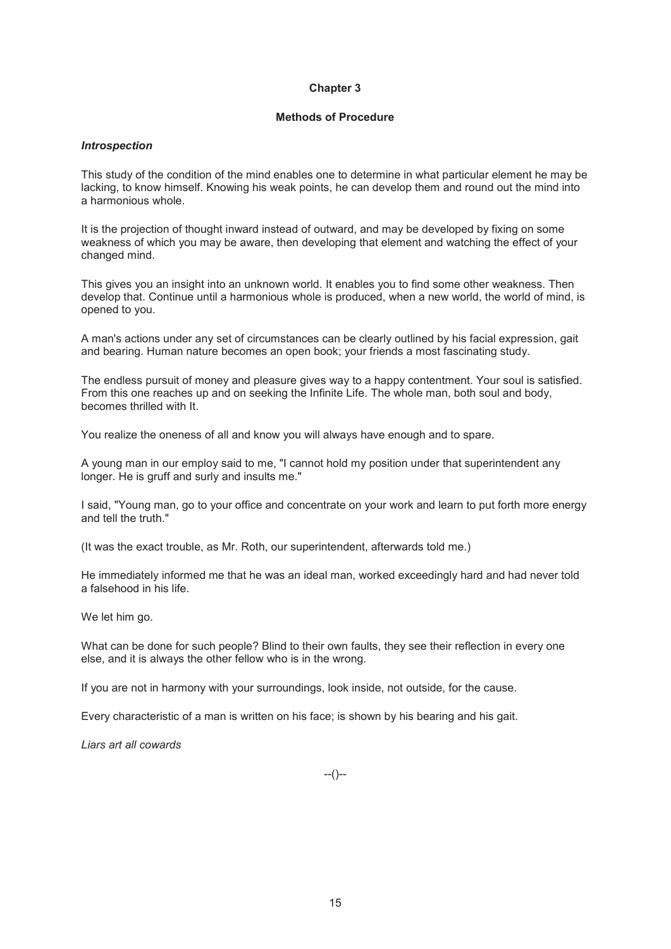## **Methods of Procedure**

## *Introspection*

This study of the condition of the mind enables one to determine in what particular element he may be lacking, to know himself. Knowing his weak points, he can develop them and round out the mind into a harmonious whole.

It is the projection of thought inward instead of outward, and may be developed by fixing on some weakness of which you may be aware, then developing that element and watching the effect of your changed mind.

This gives you an insight into an unknown world. It enables you to find some other weakness. Then develop that. Continue until a harmonious whole is produced, when a new world, the world of mind, is opened to you.

A man's actions under any set of circumstances can be clearly outlined by his facial expression, gait and bearing. Human nature becomes an open book; your friends a most fascinating study.

The endless pursuit of money and pleasure gives way to a happy contentment. Your soul is satisfied. From this one reaches up and on seeking the Infinite Life. The whole man, both soul and body, becomes thrilled with It.

You realize the oneness of all and know you will always have enough and to spare.

A young man in our employ said to me, "I cannot hold my position under that superintendent any longer. He is gruff and surly and insults me."

I said, "Young man, go to your office and concentrate on your work and learn to put forth more energy and tell the truth."

(It was the exact trouble, as Mr. Roth, our superintendent, afterwards told me.)

He immediately informed me that he was an ideal man, worked exceedingly hard and had never told a falsehood in his life.

We let him go.

What can be done for such people? Blind to their own faults, they see their reflection in every one else, and it is always the other fellow who is in the wrong.

If you are not in harmony with your surroundings, look inside, not outside, for the cause.

Every characteristic of a man is written on his face; is shown by his bearing and his gait.

*Liars art all cowards* 

 $-(-)$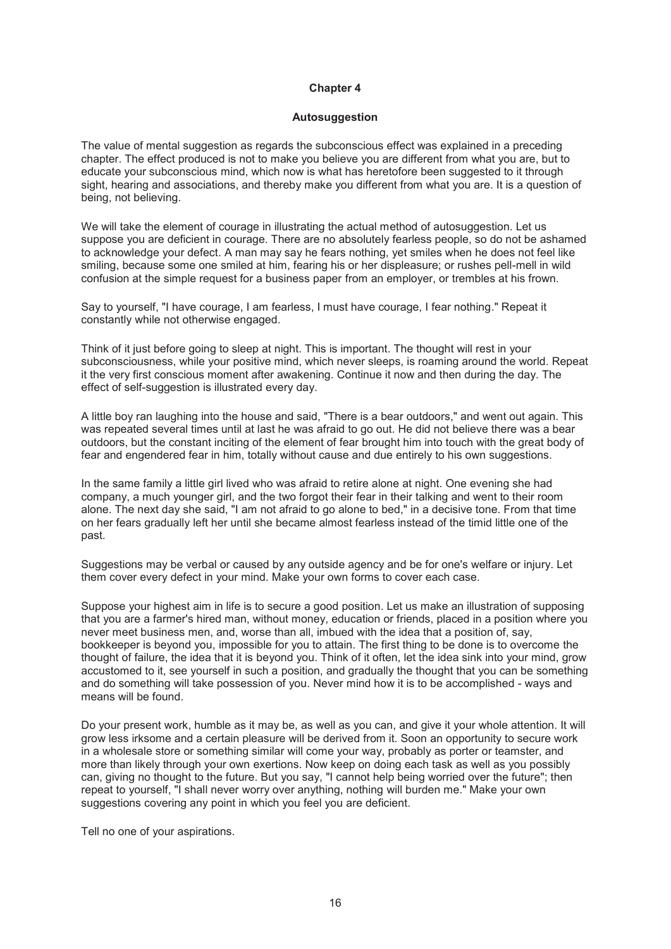#### **Autosuggestion**

The value of mental suggestion as regards the subconscious effect was explained in a preceding chapter. The effect produced is not to make you believe you are different from what you are, but to educate your subconscious mind, which now is what has heretofore been suggested to it through sight, hearing and associations, and thereby make you different from what you are. It is a question of being, not believing.

We will take the element of courage in illustrating the actual method of autosuggestion. Let us suppose you are deficient in courage. There are no absolutely fearless people, so do not be ashamed to acknowledge your defect. A man may say he fears nothing, yet smiles when he does not feel like smiling, because some one smiled at him, fearing his or her displeasure; or rushes pell-mell in wild confusion at the simple request for a business paper from an employer, or trembles at his frown.

Say to yourself, "I have courage, I am fearless, I must have courage, I fear nothing." Repeat it constantly while not otherwise engaged.

Think of it just before going to sleep at night. This is important. The thought will rest in your subconsciousness, while your positive mind, which never sleeps, is roaming around the world. Repeat it the very first conscious moment after awakening. Continue it now and then during the day. The effect of self-suggestion is illustrated every day.

A little boy ran laughing into the house and said, "There is a bear outdoors," and went out again. This was repeated several times until at last he was afraid to go out. He did not believe there was a bear outdoors, but the constant inciting of the element of fear brought him into touch with the great body of fear and engendered fear in him, totally without cause and due entirely to his own suggestions.

In the same family a little girl lived who was afraid to retire alone at night. One evening she had company, a much younger girl, and the two forgot their fear in their talking and went to their room alone. The next day she said, "I am not afraid to go alone to bed," in a decisive tone. From that time on her fears gradually left her until she became almost fearless instead of the timid little one of the past.

Suggestions may be verbal or caused by any outside agency and be for one's welfare or injury. Let them cover every defect in your mind. Make your own forms to cover each case.

Suppose your highest aim in life is to secure a good position. Let us make an illustration of supposing that you are a farmer's hired man, without money, education or friends, placed in a position where you never meet business men, and, worse than all, imbued with the idea that a position of, say, bookkeeper is beyond you, impossible for you to attain. The first thing to be done is to overcome the thought of failure, the idea that it is beyond you. Think of it often, let the idea sink into your mind, grow accustomed to it, see yourself in such a position, and gradually the thought that you can be something and do something will take possession of you. Never mind how it is to be accomplished - ways and means will be found.

Do your present work, humble as it may be, as well as you can, and give it your whole attention. It will grow less irksome and a certain pleasure will be derived from it. Soon an opportunity to secure work in a wholesale store or something similar will come your way, probably as porter or teamster, and more than likely through your own exertions. Now keep on doing each task as well as you possibly can, giving no thought to the future. But you say, "I cannot help being worried over the future"; then repeat to yourself, "I shall never worry over anything, nothing will burden me." Make your own suggestions covering any point in which you feel you are deficient.

Tell no one of your aspirations.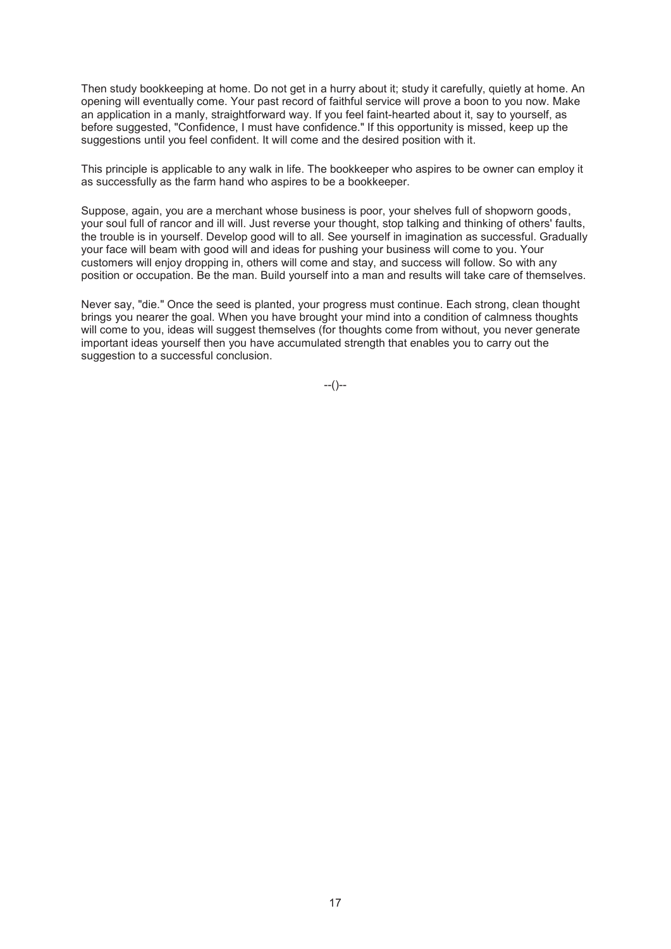Then study bookkeeping at home. Do not get in a hurry about it; study it carefully, quietly at home. An opening will eventually come. Your past record of faithful service will prove a boon to you now. Make an application in a manly, straightforward way. If you feel faint-hearted about it, say to yourself, as before suggested, "Confidence, I must have confidence." If this opportunity is missed, keep up the suggestions until you feel confident. It will come and the desired position with it.

This principle is applicable to any walk in life. The bookkeeper who aspires to be owner can employ it as successfully as the farm hand who aspires to be a bookkeeper.

Suppose, again, you are a merchant whose business is poor, your shelves full of shopworn goods, your soul full of rancor and ill will. Just reverse your thought, stop talking and thinking of others' faults, the trouble is in yourself. Develop good will to all. See yourself in imagination as successful. Gradually your face will beam with good will and ideas for pushing your business will come to you. Your customers will enjoy dropping in, others will come and stay, and success will follow. So with any position or occupation. Be the man. Build yourself into a man and results will take care of themselves.

Never say, "die." Once the seed is planted, your progress must continue. Each strong, clean thought brings you nearer the goal. When you have brought your mind into a condition of calmness thoughts will come to you, ideas will suggest themselves (for thoughts come from without, you never generate important ideas yourself then you have accumulated strength that enables you to carry out the suggestion to a successful conclusion.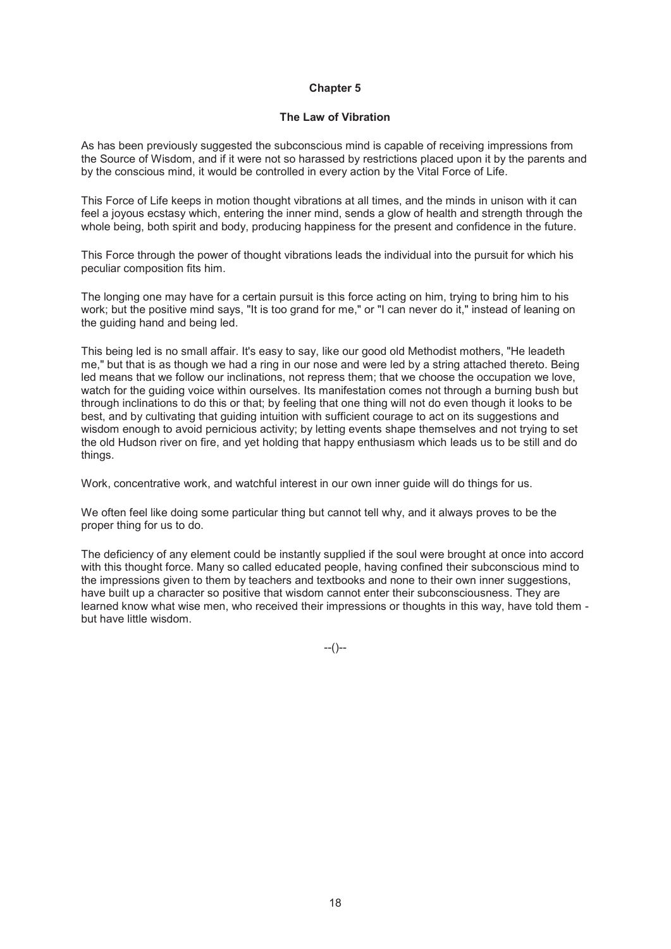## **The Law of Vibration**

As has been previously suggested the subconscious mind is capable of receiving impressions from the Source of Wisdom, and if it were not so harassed by restrictions placed upon it by the parents and by the conscious mind, it would be controlled in every action by the Vital Force of Life.

This Force of Life keeps in motion thought vibrations at all times, and the minds in unison with it can feel a joyous ecstasy which, entering the inner mind, sends a glow of health and strength through the whole being, both spirit and body, producing happiness for the present and confidence in the future.

This Force through the power of thought vibrations leads the individual into the pursuit for which his peculiar composition fits him.

The longing one may have for a certain pursuit is this force acting on him, trying to bring him to his work; but the positive mind says, "It is too grand for me," or "I can never do it," instead of leaning on the guiding hand and being led.

This being led is no small affair. It's easy to say, like our good old Methodist mothers, "He leadeth me," but that is as though we had a ring in our nose and were led by a string attached thereto. Being led means that we follow our inclinations, not repress them; that we choose the occupation we love, watch for the guiding voice within ourselves. Its manifestation comes not through a burning bush but through inclinations to do this or that; by feeling that one thing will not do even though it looks to be best, and by cultivating that guiding intuition with sufficient courage to act on its suggestions and wisdom enough to avoid pernicious activity; by letting events shape themselves and not trying to set the old Hudson river on fire, and yet holding that happy enthusiasm which leads us to be still and do things.

Work, concentrative work, and watchful interest in our own inner guide will do things for us.

We often feel like doing some particular thing but cannot tell why, and it always proves to be the proper thing for us to do.

The deficiency of any element could be instantly supplied if the soul were brought at once into accord with this thought force. Many so called educated people, having confined their subconscious mind to the impressions given to them by teachers and textbooks and none to their own inner suggestions, have built up a character so positive that wisdom cannot enter their subconsciousness. They are learned know what wise men, who received their impressions or thoughts in this way, have told them but have little wisdom.

 $-(-)$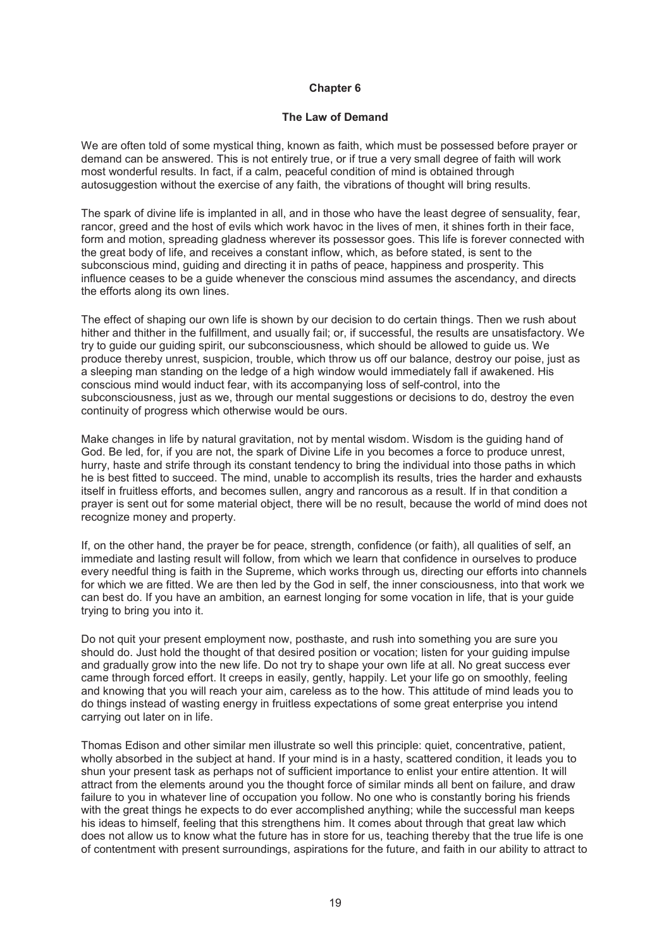#### **The Law of Demand**

We are often told of some mystical thing, known as faith, which must be possessed before prayer or demand can be answered. This is not entirely true, or if true a very small degree of faith will work most wonderful results. In fact, if a calm, peaceful condition of mind is obtained through autosuggestion without the exercise of any faith, the vibrations of thought will bring results.

The spark of divine life is implanted in all, and in those who have the least degree of sensuality, fear, rancor, greed and the host of evils which work havoc in the lives of men, it shines forth in their face, form and motion, spreading gladness wherever its possessor goes. This life is forever connected with the great body of life, and receives a constant inflow, which, as before stated, is sent to the subconscious mind, guiding and directing it in paths of peace, happiness and prosperity. This influence ceases to be a guide whenever the conscious mind assumes the ascendancy, and directs the efforts along its own lines.

The effect of shaping our own life is shown by our decision to do certain things. Then we rush about hither and thither in the fulfillment, and usually fail; or, if successful, the results are unsatisfactory. We try to guide our guiding spirit, our subconsciousness, which should be allowed to guide us. We produce thereby unrest, suspicion, trouble, which throw us off our balance, destroy our poise, just as a sleeping man standing on the ledge of a high window would immediately fall if awakened. His conscious mind would induct fear, with its accompanying loss of self-control, into the subconsciousness, just as we, through our mental suggestions or decisions to do, destroy the even continuity of progress which otherwise would be ours.

Make changes in life by natural gravitation, not by mental wisdom. Wisdom is the guiding hand of God. Be led, for, if you are not, the spark of Divine Life in you becomes a force to produce unrest, hurry, haste and strife through its constant tendency to bring the individual into those paths in which he is best fitted to succeed. The mind, unable to accomplish its results, tries the harder and exhausts itself in fruitless efforts, and becomes sullen, angry and rancorous as a result. If in that condition a prayer is sent out for some material object, there will be no result, because the world of mind does not recognize money and property.

If, on the other hand, the prayer be for peace, strength, confidence (or faith), all qualities of self, an immediate and lasting result will follow, from which we learn that confidence in ourselves to produce every needful thing is faith in the Supreme, which works through us, directing our efforts into channels for which we are fitted. We are then led by the God in self, the inner consciousness, into that work we can best do. If you have an ambition, an earnest longing for some vocation in life, that is your guide trying to bring you into it.

Do not quit your present employment now, posthaste, and rush into something you are sure you should do. Just hold the thought of that desired position or vocation; listen for your guiding impulse and gradually grow into the new life. Do not try to shape your own life at all. No great success ever came through forced effort. It creeps in easily, gently, happily. Let your life go on smoothly, feeling and knowing that you will reach your aim, careless as to the how. This attitude of mind leads you to do things instead of wasting energy in fruitless expectations of some great enterprise you intend carrying out later on in life.

Thomas Edison and other similar men illustrate so well this principle: quiet, concentrative, patient, wholly absorbed in the subject at hand. If your mind is in a hasty, scattered condition, it leads you to shun your present task as perhaps not of sufficient importance to enlist your entire attention. It will attract from the elements around you the thought force of similar minds all bent on failure, and draw failure to you in whatever line of occupation you follow. No one who is constantly boring his friends with the great things he expects to do ever accomplished anything; while the successful man keeps his ideas to himself, feeling that this strengthens him. It comes about through that great law which does not allow us to know what the future has in store for us, teaching thereby that the true life is one of contentment with present surroundings, aspirations for the future, and faith in our ability to attract to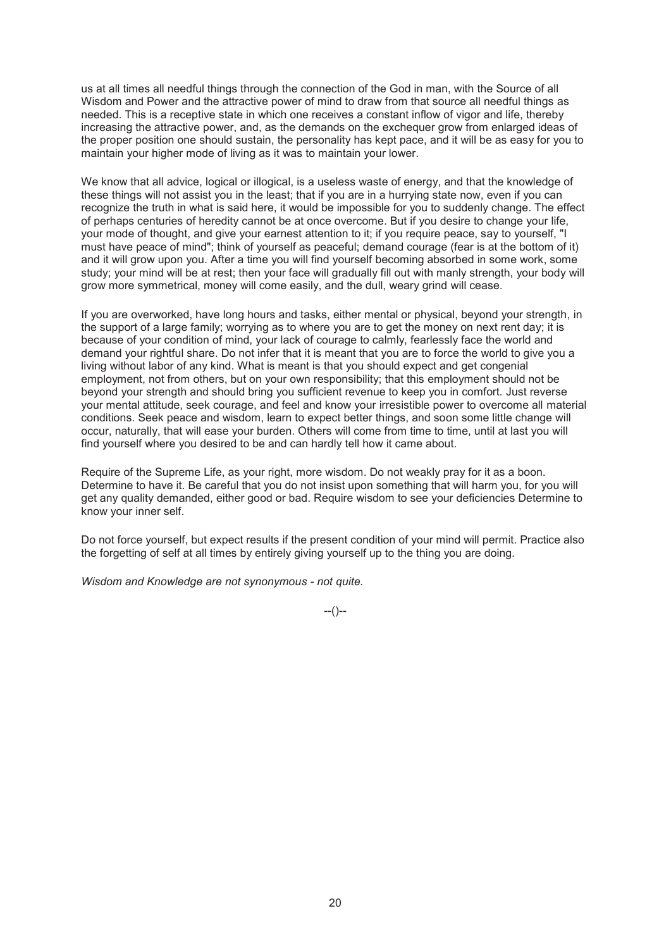us at all times all needful things through the connection of the God in man, with the Source of all Wisdom and Power and the attractive power of mind to draw from that source all needful things as needed. This is a receptive state in which one receives a constant inflow of vigor and life, thereby increasing the attractive power, and, as the demands on the exchequer grow from enlarged ideas of the proper position one should sustain, the personality has kept pace, and it will be as easy for you to maintain your higher mode of living as it was to maintain your lower.

We know that all advice, logical or illogical, is a useless waste of energy, and that the knowledge of these things will not assist you in the least; that if you are in a hurrying state now, even if you can recognize the truth in what is said here, it would be impossible for you to suddenly change. The effect of perhaps centuries of heredity cannot be at once overcome. But if you desire to change your life, your mode of thought, and give your earnest attention to it; if you require peace, say to yourself, "I must have peace of mind"; think of yourself as peaceful; demand courage (fear is at the bottom of it) and it will grow upon you. After a time you will find yourself becoming absorbed in some work, some study; your mind will be at rest; then your face will gradually fill out with manly strength, your body will grow more symmetrical, money will come easily, and the dull, weary grind will cease.

If you are overworked, have long hours and tasks, either mental or physical, beyond your strength, in the support of a large family; worrying as to where you are to get the money on next rent day; it is because of your condition of mind, your lack of courage to calmly, fearlessly face the world and demand your rightful share. Do not infer that it is meant that you are to force the world to give you a living without labor of any kind. What is meant is that you should expect and get congenial employment, not from others, but on your own responsibility; that this employment should not be beyond your strength and should bring you sufficient revenue to keep you in comfort. Just reverse your mental attitude, seek courage, and feel and know your irresistible power to overcome all material conditions. Seek peace and wisdom, learn to expect better things, and soon some little change will occur, naturally, that will ease your burden. Others will come from time to time, until at last you will find yourself where you desired to be and can hardly tell how it came about.

Require of the Supreme Life, as your right, more wisdom. Do not weakly pray for it as a boon. Determine to have it. Be careful that you do not insist upon something that will harm you, for you will get any quality demanded, either good or bad. Require wisdom to see your deficiencies Determine to know your inner self.

Do not force yourself, but expect results if the present condition of your mind will permit. Practice also the forgetting of self at all times by entirely giving yourself up to the thing you are doing.

*Wisdom and Knowledge are not synonymous - not quite.* 

 $-(-)$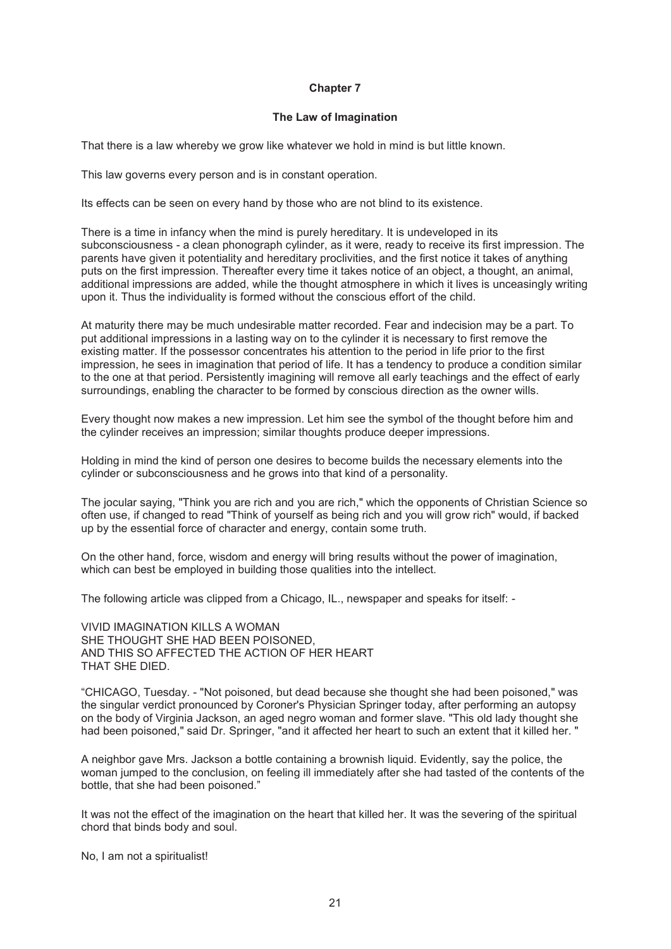#### **The Law of Imagination**

That there is a law whereby we grow like whatever we hold in mind is but little known.

This law governs every person and is in constant operation.

Its effects can be seen on every hand by those who are not blind to its existence.

There is a time in infancy when the mind is purely hereditary. It is undeveloped in its subconsciousness - a clean phonograph cylinder, as it were, ready to receive its first impression. The parents have given it potentiality and hereditary proclivities, and the first notice it takes of anything puts on the first impression. Thereafter every time it takes notice of an object, a thought, an animal, additional impressions are added, while the thought atmosphere in which it lives is unceasingly writing upon it. Thus the individuality is formed without the conscious effort of the child.

At maturity there may be much undesirable matter recorded. Fear and indecision may be a part. To put additional impressions in a lasting way on to the cylinder it is necessary to first remove the existing matter. If the possessor concentrates his attention to the period in life prior to the first impression, he sees in imagination that period of life. It has a tendency to produce a condition similar to the one at that period. Persistently imagining will remove all early teachings and the effect of early surroundings, enabling the character to be formed by conscious direction as the owner wills.

Every thought now makes a new impression. Let him see the symbol of the thought before him and the cylinder receives an impression; similar thoughts produce deeper impressions.

Holding in mind the kind of person one desires to become builds the necessary elements into the cylinder or subconsciousness and he grows into that kind of a personality.

The jocular saying, "Think you are rich and you are rich," which the opponents of Christian Science so often use, if changed to read "Think of yourself as being rich and you will grow rich" would, if backed up by the essential force of character and energy, contain some truth.

On the other hand, force, wisdom and energy will bring results without the power of imagination, which can best be employed in building those qualities into the intellect.

The following article was clipped from a Chicago, IL., newspaper and speaks for itself: -

VIVID IMAGINATION KILLS A WOMAN SHE THOUGHT SHE HAD BEEN POISONED AND THIS SO AFFECTED THE ACTION OF HER HEART THAT SHE DIED.

"CHICAGO, Tuesday. - "Not poisoned, but dead because she thought she had been poisoned," was the singular verdict pronounced by Coroner's Physician Springer today, after performing an autopsy on the body of Virginia Jackson, an aged negro woman and former slave. "This old lady thought she had been poisoned," said Dr. Springer, "and it affected her heart to such an extent that it killed her. "

A neighbor gave Mrs. Jackson a bottle containing a brownish liquid. Evidently, say the police, the woman jumped to the conclusion, on feeling ill immediately after she had tasted of the contents of the bottle, that she had been poisoned."

It was not the effect of the imagination on the heart that killed her. It was the severing of the spiritual chord that binds body and soul.

No, I am not a spiritualist!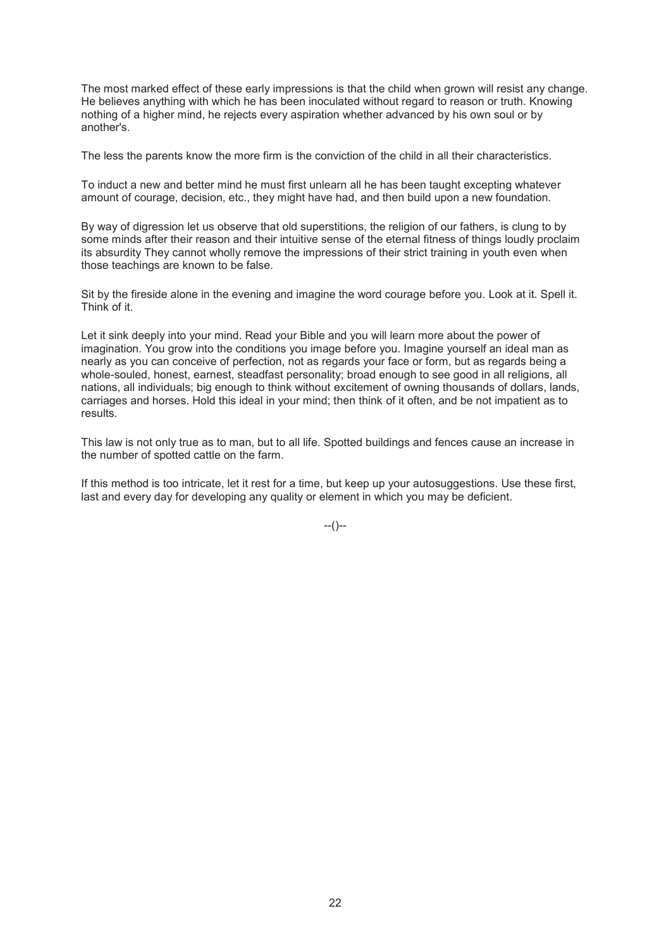The most marked effect of these early impressions is that the child when grown will resist any change. He believes anything with which he has been inoculated without regard to reason or truth. Knowing nothing of a higher mind, he rejects every aspiration whether advanced by his own soul or by another's.

The less the parents know the more firm is the conviction of the child in all their characteristics.

To induct a new and better mind he must first unlearn all he has been taught excepting whatever amount of courage, decision, etc., they might have had, and then build upon a new foundation.

By way of digression let us observe that old superstitions, the religion of our fathers, is clung to by some minds after their reason and their intuitive sense of the eternal fitness of things loudly proclaim its absurdity They cannot wholly remove the impressions of their strict training in youth even when those teachings are known to be false.

Sit by the fireside alone in the evening and imagine the word courage before you. Look at it. Spell it. Think of it.

Let it sink deeply into your mind. Read your Bible and you will learn more about the power of imagination. You grow into the conditions you image before you. Imagine yourself an ideal man as nearly as you can conceive of perfection, not as regards your face or form, but as regards being a whole-souled, honest, earnest, steadfast personality; broad enough to see good in all religions, all nations, all individuals; big enough to think without excitement of owning thousands of dollars, lands, carriages and horses. Hold this ideal in your mind; then think of it often, and be not impatient as to results.

This law is not only true as to man, but to all life. Spotted buildings and fences cause an increase in the number of spotted cattle on the farm.

If this method is too intricate, let it rest for a time, but keep up your autosuggestions. Use these first, last and every day for developing any quality or element in which you may be deficient.

 $-(-)$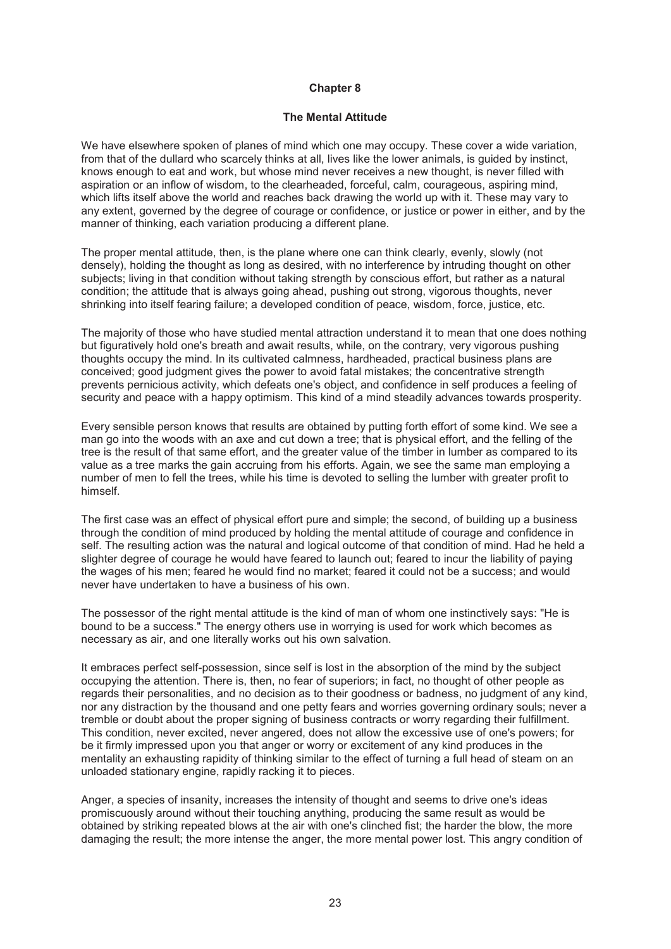### **The Mental Attitude**

We have elsewhere spoken of planes of mind which one may occupy. These cover a wide variation, from that of the dullard who scarcely thinks at all, lives like the lower animals, is guided by instinct, knows enough to eat and work, but whose mind never receives a new thought, is never filled with aspiration or an inflow of wisdom, to the clearheaded, forceful, calm, courageous, aspiring mind, which lifts itself above the world and reaches back drawing the world up with it. These may vary to any extent, governed by the degree of courage or confidence, or justice or power in either, and by the manner of thinking, each variation producing a different plane.

The proper mental attitude, then, is the plane where one can think clearly, evenly, slowly (not densely), holding the thought as long as desired, with no interference by intruding thought on other subjects; living in that condition without taking strength by conscious effort, but rather as a natural condition; the attitude that is always going ahead, pushing out strong, vigorous thoughts, never shrinking into itself fearing failure; a developed condition of peace, wisdom, force, justice, etc.

The majority of those who have studied mental attraction understand it to mean that one does nothing but figuratively hold one's breath and await results, while, on the contrary, very vigorous pushing thoughts occupy the mind. In its cultivated calmness, hardheaded, practical business plans are conceived; good judgment gives the power to avoid fatal mistakes; the concentrative strength prevents pernicious activity, which defeats one's object, and confidence in self produces a feeling of security and peace with a happy optimism. This kind of a mind steadily advances towards prosperity.

Every sensible person knows that results are obtained by putting forth effort of some kind. We see a man go into the woods with an axe and cut down a tree; that is physical effort, and the felling of the tree is the result of that same effort, and the greater value of the timber in lumber as compared to its value as a tree marks the gain accruing from his efforts. Again, we see the same man employing a number of men to fell the trees, while his time is devoted to selling the lumber with greater profit to himself.

The first case was an effect of physical effort pure and simple; the second, of building up a business through the condition of mind produced by holding the mental attitude of courage and confidence in self. The resulting action was the natural and logical outcome of that condition of mind. Had he held a slighter degree of courage he would have feared to launch out; feared to incur the liability of paying the wages of his men; feared he would find no market; feared it could not be a success; and would never have undertaken to have a business of his own.

The possessor of the right mental attitude is the kind of man of whom one instinctively says: "He is bound to be a success." The energy others use in worrying is used for work which becomes as necessary as air, and one literally works out his own salvation.

It embraces perfect self-possession, since self is lost in the absorption of the mind by the subject occupying the attention. There is, then, no fear of superiors; in fact, no thought of other people as regards their personalities, and no decision as to their goodness or badness, no judgment of any kind, nor any distraction by the thousand and one petty fears and worries governing ordinary souls; never a tremble or doubt about the proper signing of business contracts or worry regarding their fulfillment. This condition, never excited, never angered, does not allow the excessive use of one's powers; for be it firmly impressed upon you that anger or worry or excitement of any kind produces in the mentality an exhausting rapidity of thinking similar to the effect of turning a full head of steam on an unloaded stationary engine, rapidly racking it to pieces.

Anger, a species of insanity, increases the intensity of thought and seems to drive one's ideas promiscuously around without their touching anything, producing the same result as would be obtained by striking repeated blows at the air with one's clinched fist; the harder the blow, the more damaging the result; the more intense the anger, the more mental power lost. This angry condition of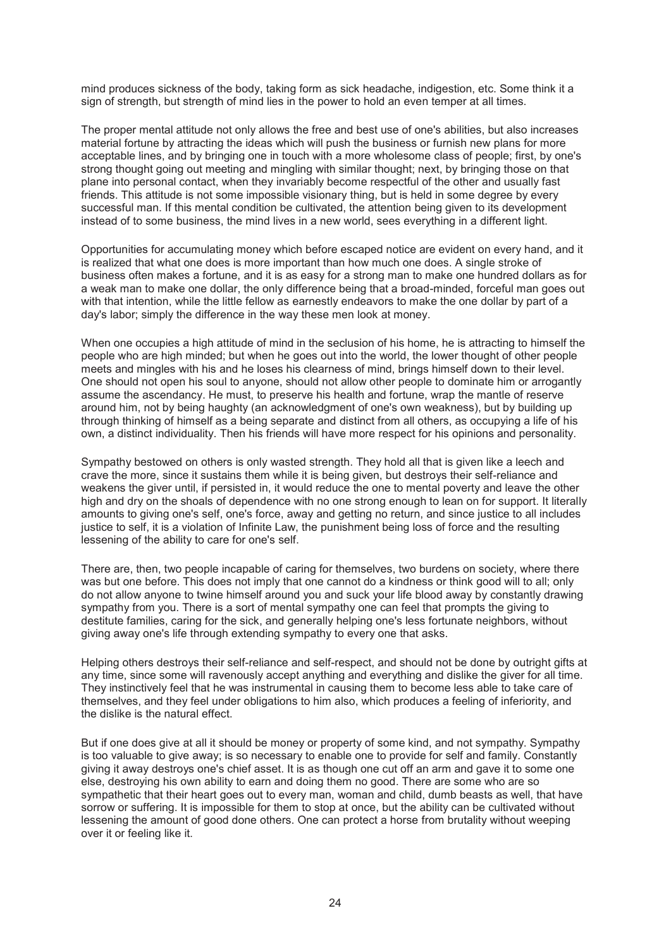mind produces sickness of the body, taking form as sick headache, indigestion, etc. Some think it a sign of strength, but strength of mind lies in the power to hold an even temper at all times.

The proper mental attitude not only allows the free and best use of one's abilities, but also increases material fortune by attracting the ideas which will push the business or furnish new plans for more acceptable lines, and by bringing one in touch with a more wholesome class of people; first, by one's strong thought going out meeting and mingling with similar thought; next, by bringing those on that plane into personal contact, when they invariably become respectful of the other and usually fast friends. This attitude is not some impossible visionary thing, but is held in some degree by every successful man. If this mental condition be cultivated, the attention being given to its development instead of to some business, the mind lives in a new world, sees everything in a different light.

Opportunities for accumulating money which before escaped notice are evident on every hand, and it is realized that what one does is more important than how much one does. A single stroke of business often makes a fortune, and it is as easy for a strong man to make one hundred dollars as for a weak man to make one dollar, the only difference being that a broad-minded, forceful man goes out with that intention, while the little fellow as earnestly endeavors to make the one dollar by part of a day's labor; simply the difference in the way these men look at money.

When one occupies a high attitude of mind in the seclusion of his home, he is attracting to himself the people who are high minded; but when he goes out into the world, the lower thought of other people meets and mingles with his and he loses his clearness of mind, brings himself down to their level. One should not open his soul to anyone, should not allow other people to dominate him or arrogantly assume the ascendancy. He must, to preserve his health and fortune, wrap the mantle of reserve around him, not by being haughty (an acknowledgment of one's own weakness), but by building up through thinking of himself as a being separate and distinct from all others, as occupying a life of his own, a distinct individuality. Then his friends will have more respect for his opinions and personality.

Sympathy bestowed on others is only wasted strength. They hold all that is given like a leech and crave the more, since it sustains them while it is being given, but destroys their self-reliance and weakens the giver until, if persisted in, it would reduce the one to mental poverty and leave the other high and dry on the shoals of dependence with no one strong enough to lean on for support. It literally amounts to giving one's self, one's force, away and getting no return, and since justice to all includes justice to self, it is a violation of Infinite Law, the punishment being loss of force and the resulting lessening of the ability to care for one's self.

There are, then, two people incapable of caring for themselves, two burdens on society, where there was but one before. This does not imply that one cannot do a kindness or think good will to all; only do not allow anyone to twine himself around you and suck your life blood away by constantly drawing sympathy from you. There is a sort of mental sympathy one can feel that prompts the giving to destitute families, caring for the sick, and generally helping one's less fortunate neighbors, without giving away one's life through extending sympathy to every one that asks.

Helping others destroys their self-reliance and self-respect, and should not be done by outright gifts at any time, since some will ravenously accept anything and everything and dislike the giver for all time. They instinctively feel that he was instrumental in causing them to become less able to take care of themselves, and they feel under obligations to him also, which produces a feeling of inferiority, and the dislike is the natural effect.

But if one does give at all it should be money or property of some kind, and not sympathy. Sympathy is too valuable to give away; is so necessary to enable one to provide for self and family. Constantly giving it away destroys one's chief asset. It is as though one cut off an arm and gave it to some one else, destroying his own ability to earn and doing them no good. There are some who are so sympathetic that their heart goes out to every man, woman and child, dumb beasts as well, that have sorrow or suffering. It is impossible for them to stop at once, but the ability can be cultivated without lessening the amount of good done others. One can protect a horse from brutality without weeping over it or feeling like it.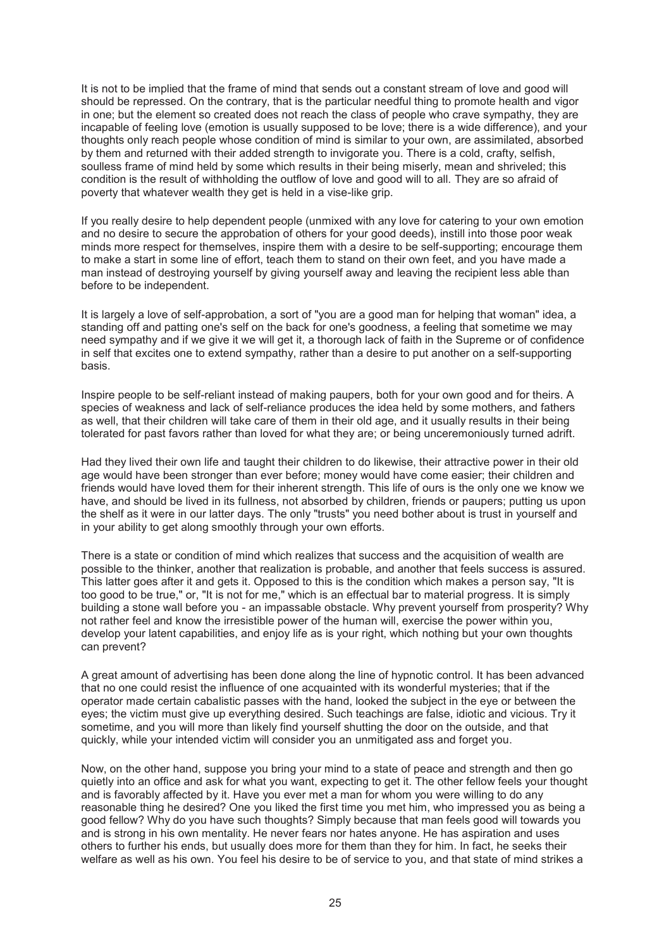It is not to be implied that the frame of mind that sends out a constant stream of love and good will should be repressed. On the contrary, that is the particular needful thing to promote health and vigor in one; but the element so created does not reach the class of people who crave sympathy, they are incapable of feeling love (emotion is usually supposed to be love; there is a wide difference), and your thoughts only reach people whose condition of mind is similar to your own, are assimilated, absorbed by them and returned with their added strength to invigorate you. There is a cold, crafty, selfish, soulless frame of mind held by some which results in their being miserly, mean and shriveled; this condition is the result of withholding the outflow of love and good will to all. They are so afraid of poverty that whatever wealth they get is held in a vise-like grip.

If you really desire to help dependent people (unmixed with any love for catering to your own emotion and no desire to secure the approbation of others for your good deeds), instill into those poor weak minds more respect for themselves, inspire them with a desire to be self-supporting; encourage them to make a start in some line of effort, teach them to stand on their own feet, and you have made a man instead of destroying yourself by giving yourself away and leaving the recipient less able than before to be independent.

It is largely a love of self-approbation, a sort of "you are a good man for helping that woman" idea, a standing off and patting one's self on the back for one's goodness, a feeling that sometime we may need sympathy and if we give it we will get it, a thorough lack of faith in the Supreme or of confidence in self that excites one to extend sympathy, rather than a desire to put another on a self-supporting basis.

Inspire people to be self-reliant instead of making paupers, both for your own good and for theirs. A species of weakness and lack of self-reliance produces the idea held by some mothers, and fathers as well, that their children will take care of them in their old age, and it usually results in their being tolerated for past favors rather than loved for what they are; or being unceremoniously turned adrift.

Had they lived their own life and taught their children to do likewise, their attractive power in their old age would have been stronger than ever before; money would have come easier; their children and friends would have loved them for their inherent strength. This life of ours is the only one we know we have, and should be lived in its fullness, not absorbed by children, friends or paupers; putting us upon the shelf as it were in our latter days. The only "trusts" you need bother about is trust in yourself and in your ability to get along smoothly through your own efforts.

There is a state or condition of mind which realizes that success and the acquisition of wealth are possible to the thinker, another that realization is probable, and another that feels success is assured. This latter goes after it and gets it. Opposed to this is the condition which makes a person say, "It is too good to be true," or, "It is not for me," which is an effectual bar to material progress. It is simply building a stone wall before you - an impassable obstacle. Why prevent yourself from prosperity? Why not rather feel and know the irresistible power of the human will, exercise the power within you, develop your latent capabilities, and enjoy life as is your right, which nothing but your own thoughts can prevent?

A great amount of advertising has been done along the line of hypnotic control. It has been advanced that no one could resist the influence of one acquainted with its wonderful mysteries; that if the operator made certain cabalistic passes with the hand, looked the subject in the eye or between the eyes; the victim must give up everything desired. Such teachings are false, idiotic and vicious. Try it sometime, and you will more than likely find yourself shutting the door on the outside, and that quickly, while your intended victim will consider you an unmitigated ass and forget you.

Now, on the other hand, suppose you bring your mind to a state of peace and strength and then go quietly into an office and ask for what you want, expecting to get it. The other fellow feels your thought and is favorably affected by it. Have you ever met a man for whom you were willing to do any reasonable thing he desired? One you liked the first time you met him, who impressed you as being a good fellow? Why do you have such thoughts? Simply because that man feels good will towards you and is strong in his own mentality. He never fears nor hates anyone. He has aspiration and uses others to further his ends, but usually does more for them than they for him. In fact, he seeks their welfare as well as his own. You feel his desire to be of service to you, and that state of mind strikes a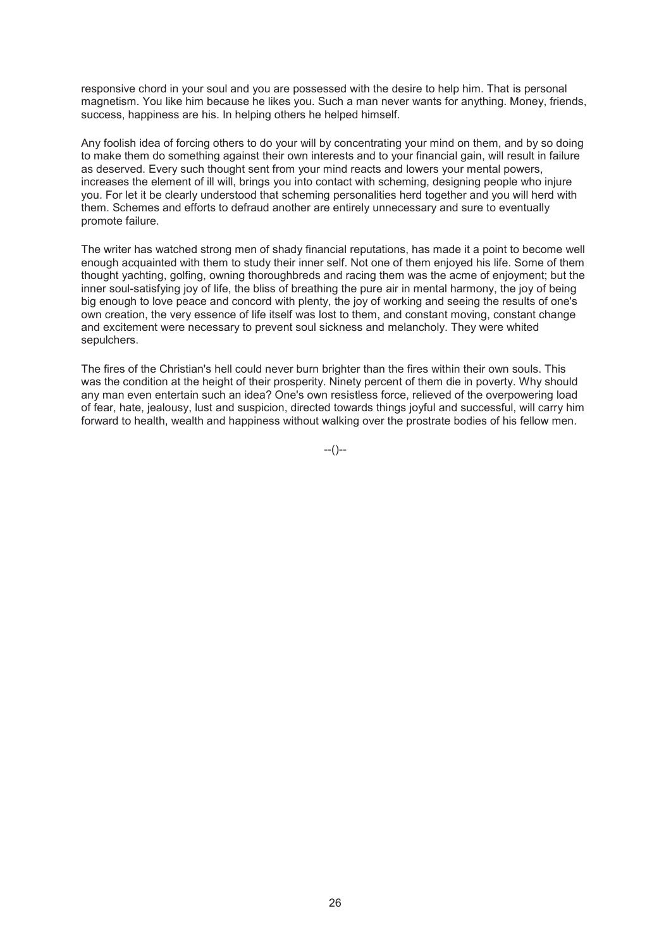responsive chord in your soul and you are possessed with the desire to help him. That is personal magnetism. You like him because he likes you. Such a man never wants for anything. Money, friends, success, happiness are his. In helping others he helped himself.

Any foolish idea of forcing others to do your will by concentrating your mind on them, and by so doing to make them do something against their own interests and to your financial gain, will result in failure as deserved. Every such thought sent from your mind reacts and lowers your mental powers, increases the element of ill will, brings you into contact with scheming, designing people who injure you. For let it be clearly understood that scheming personalities herd together and you will herd with them. Schemes and efforts to defraud another are entirely unnecessary and sure to eventually promote failure.

The writer has watched strong men of shady financial reputations, has made it a point to become well enough acquainted with them to study their inner self. Not one of them enjoyed his life. Some of them thought yachting, golfing, owning thoroughbreds and racing them was the acme of enjoyment; but the inner soul-satisfying joy of life, the bliss of breathing the pure air in mental harmony, the joy of being big enough to love peace and concord with plenty, the joy of working and seeing the results of one's own creation, the very essence of life itself was lost to them, and constant moving, constant change and excitement were necessary to prevent soul sickness and melancholy. They were whited sepulchers.

The fires of the Christian's hell could never burn brighter than the fires within their own souls. This was the condition at the height of their prosperity. Ninety percent of them die in poverty. Why should any man even entertain such an idea? One's own resistless force, relieved of the overpowering load of fear, hate, jealousy, lust and suspicion, directed towards things joyful and successful, will carry him forward to health, wealth and happiness without walking over the prostrate bodies of his fellow men.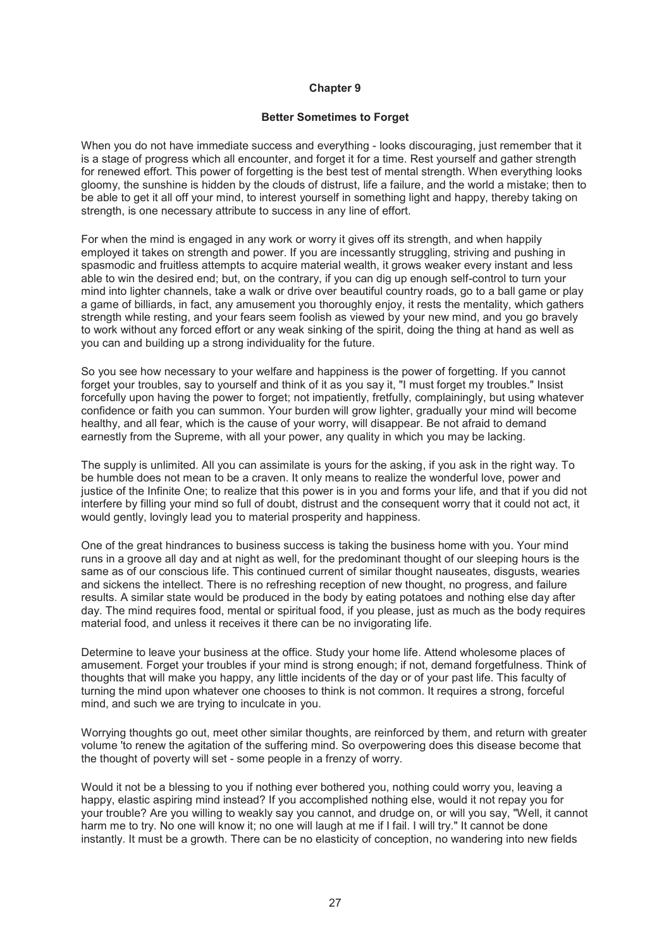#### **Better Sometimes to Forget**

When you do not have immediate success and everything - looks discouraging, just remember that it is a stage of progress which all encounter, and forget it for a time. Rest yourself and gather strength for renewed effort. This power of forgetting is the best test of mental strength. When everything looks gloomy, the sunshine is hidden by the clouds of distrust, life a failure, and the world a mistake; then to be able to get it all off your mind, to interest yourself in something light and happy, thereby taking on strength, is one necessary attribute to success in any line of effort.

For when the mind is engaged in any work or worry it gives off its strength, and when happily employed it takes on strength and power. If you are incessantly struggling, striving and pushing in spasmodic and fruitless attempts to acquire material wealth, it grows weaker every instant and less able to win the desired end; but, on the contrary, if you can dig up enough self-control to turn your mind into lighter channels, take a walk or drive over beautiful country roads, go to a ball game or play a game of billiards, in fact, any amusement you thoroughly enjoy, it rests the mentality, which gathers strength while resting, and your fears seem foolish as viewed by your new mind, and you go bravely to work without any forced effort or any weak sinking of the spirit, doing the thing at hand as well as you can and building up a strong individuality for the future.

So you see how necessary to your welfare and happiness is the power of forgetting. If you cannot forget your troubles, say to yourself and think of it as you say it, "I must forget my troubles." Insist forcefully upon having the power to forget; not impatiently, fretfully, complainingly, but using whatever confidence or faith you can summon. Your burden will grow lighter, gradually your mind will become healthy, and all fear, which is the cause of your worry, will disappear. Be not afraid to demand earnestly from the Supreme, with all your power, any quality in which you may be lacking.

The supply is unlimited. All you can assimilate is yours for the asking, if you ask in the right way. To be humble does not mean to be a craven. It only means to realize the wonderful love, power and justice of the Infinite One; to realize that this power is in you and forms your life, and that if you did not interfere by filling your mind so full of doubt, distrust and the consequent worry that it could not act, it would gently, lovingly lead you to material prosperity and happiness.

One of the great hindrances to business success is taking the business home with you. Your mind runs in a groove all day and at night as well, for the predominant thought of our sleeping hours is the same as of our conscious life. This continued current of similar thought nauseates, disgusts, wearies and sickens the intellect. There is no refreshing reception of new thought, no progress, and failure results. A similar state would be produced in the body by eating potatoes and nothing else day after day. The mind requires food, mental or spiritual food, if you please, just as much as the body requires material food, and unless it receives it there can be no invigorating life.

Determine to leave your business at the office. Study your home life. Attend wholesome places of amusement. Forget your troubles if your mind is strong enough; if not, demand forgetfulness. Think of thoughts that will make you happy, any little incidents of the day or of your past life. This faculty of turning the mind upon whatever one chooses to think is not common. It requires a strong, forceful mind, and such we are trying to inculcate in you.

Worrying thoughts go out, meet other similar thoughts, are reinforced by them, and return with greater volume 'to renew the agitation of the suffering mind. So overpowering does this disease become that the thought of poverty will set - some people in a frenzy of worry.

Would it not be a blessing to you if nothing ever bothered you, nothing could worry you, leaving a happy, elastic aspiring mind instead? If you accomplished nothing else, would it not repay you for your trouble? Are you willing to weakly say you cannot, and drudge on, or will you say, "Well, it cannot harm me to try. No one will know it; no one will laugh at me if I fail. I will try." It cannot be done instantly. It must be a growth. There can be no elasticity of conception, no wandering into new fields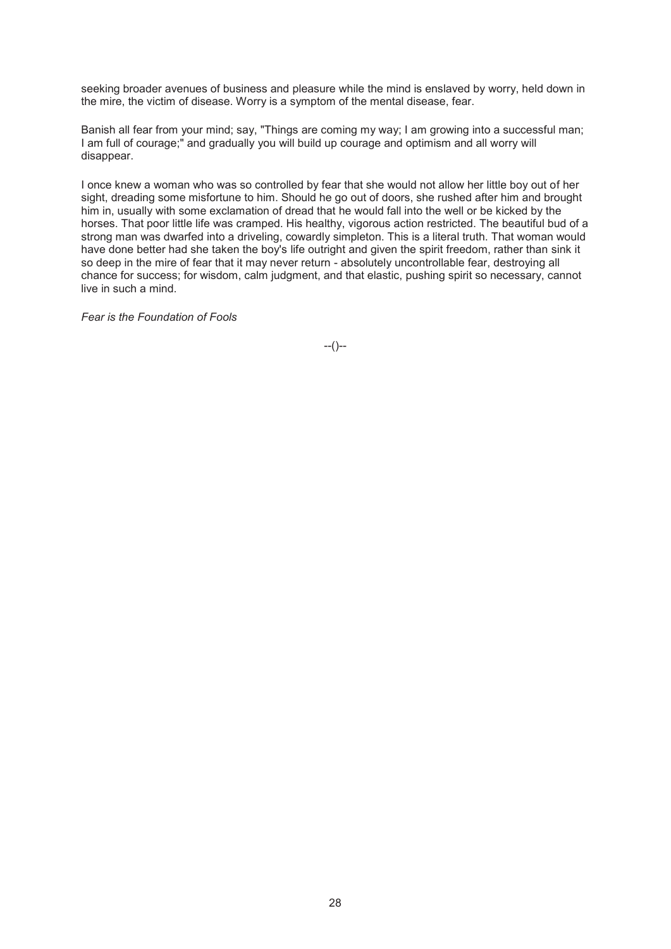seeking broader avenues of business and pleasure while the mind is enslaved by worry, held down in the mire, the victim of disease. Worry is a symptom of the mental disease, fear.

Banish all fear from your mind; say, "Things are coming my way; I am growing into a successful man; I am full of courage;" and gradually you will build up courage and optimism and all worry will disappear.

I once knew a woman who was so controlled by fear that she would not allow her little boy out of her sight, dreading some misfortune to him. Should he go out of doors, she rushed after him and brought him in, usually with some exclamation of dread that he would fall into the well or be kicked by the horses. That poor little life was cramped. His healthy, vigorous action restricted. The beautiful bud of a strong man was dwarfed into a driveling, cowardly simpleton. This is a literal truth. That woman would have done better had she taken the boy's life outright and given the spirit freedom, rather than sink it so deep in the mire of fear that it may never return - absolutely uncontrollable fear, destroying all chance for success; for wisdom, calm judgment, and that elastic, pushing spirit so necessary, cannot live in such a mind.

*Fear is the Foundation of Fools*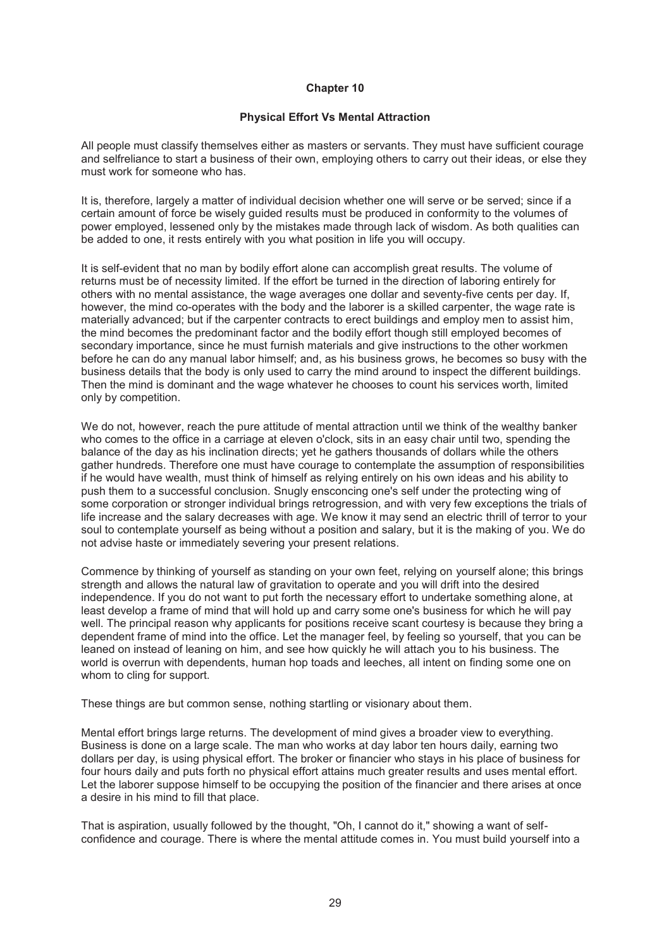## **Physical Effort Vs Mental Attraction**

All people must classify themselves either as masters or servants. They must have sufficient courage and selfreliance to start a business of their own, employing others to carry out their ideas, or else they must work for someone who has.

It is, therefore, largely a matter of individual decision whether one will serve or be served; since if a certain amount of force be wisely guided results must be produced in conformity to the volumes of power employed, lessened only by the mistakes made through lack of wisdom. As both qualities can be added to one, it rests entirely with you what position in life you will occupy.

It is self-evident that no man by bodily effort alone can accomplish great results. The volume of returns must be of necessity limited. If the effort be turned in the direction of laboring entirely for others with no mental assistance, the wage averages one dollar and seventy-five cents per day. If, however, the mind co-operates with the body and the laborer is a skilled carpenter, the wage rate is materially advanced; but if the carpenter contracts to erect buildings and employ men to assist him, the mind becomes the predominant factor and the bodily effort though still employed becomes of secondary importance, since he must furnish materials and give instructions to the other workmen before he can do any manual labor himself; and, as his business grows, he becomes so busy with the business details that the body is only used to carry the mind around to inspect the different buildings. Then the mind is dominant and the wage whatever he chooses to count his services worth, limited only by competition.

We do not, however, reach the pure attitude of mental attraction until we think of the wealthy banker who comes to the office in a carriage at eleven o'clock, sits in an easy chair until two, spending the balance of the day as his inclination directs; yet he gathers thousands of dollars while the others gather hundreds. Therefore one must have courage to contemplate the assumption of responsibilities if he would have wealth, must think of himself as relying entirely on his own ideas and his ability to push them to a successful conclusion. Snugly ensconcing one's self under the protecting wing of some corporation or stronger individual brings retrogression, and with very few exceptions the trials of life increase and the salary decreases with age. We know it may send an electric thrill of terror to your soul to contemplate yourself as being without a position and salary, but it is the making of you. We do not advise haste or immediately severing your present relations.

Commence by thinking of yourself as standing on your own feet, relying on yourself alone; this brings strength and allows the natural law of gravitation to operate and you will drift into the desired independence. If you do not want to put forth the necessary effort to undertake something alone, at least develop a frame of mind that will hold up and carry some one's business for which he will pay well. The principal reason why applicants for positions receive scant courtesy is because they bring a dependent frame of mind into the office. Let the manager feel, by feeling so yourself, that you can be leaned on instead of leaning on him, and see how quickly he will attach you to his business. The world is overrun with dependents, human hop toads and leeches, all intent on finding some one on whom to cling for support.

These things are but common sense, nothing startling or visionary about them.

Mental effort brings large returns. The development of mind gives a broader view to everything. Business is done on a large scale. The man who works at day labor ten hours daily, earning two dollars per day, is using physical effort. The broker or financier who stays in his place of business for four hours daily and puts forth no physical effort attains much greater results and uses mental effort. Let the laborer suppose himself to be occupying the position of the financier and there arises at once a desire in his mind to fill that place.

That is aspiration, usually followed by the thought, "Oh, I cannot do it," showing a want of selfconfidence and courage. There is where the mental attitude comes in. You must build yourself into a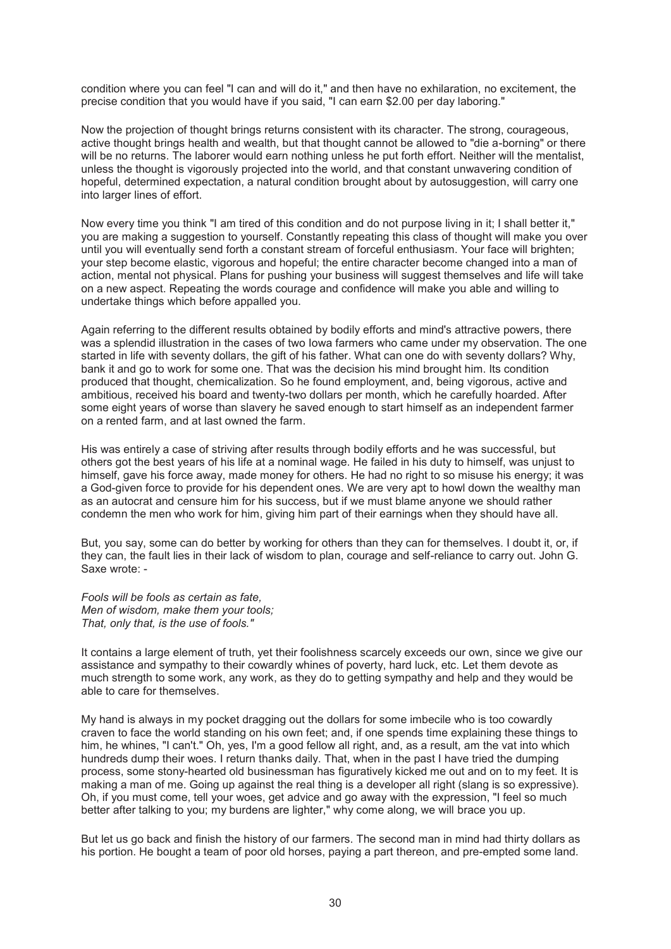condition where you can feel "I can and will do it," and then have no exhilaration, no excitement, the precise condition that you would have if you said, "I can earn \$2.00 per day laboring."

Now the projection of thought brings returns consistent with its character. The strong, courageous, active thought brings health and wealth, but that thought cannot be allowed to "die a-borning" or there will be no returns. The laborer would earn nothing unless he put forth effort. Neither will the mentalist, unless the thought is vigorously projected into the world, and that constant unwavering condition of hopeful, determined expectation, a natural condition brought about by autosuggestion, will carry one into larger lines of effort.

Now every time you think "I am tired of this condition and do not purpose living in it; I shall better it," you are making a suggestion to yourself. Constantly repeating this class of thought will make you over until you will eventually send forth a constant stream of forceful enthusiasm. Your face will brighten; your step become elastic, vigorous and hopeful; the entire character become changed into a man of action, mental not physical. Plans for pushing your business will suggest themselves and life will take on a new aspect. Repeating the words courage and confidence will make you able and willing to undertake things which before appalled you.

Again referring to the different results obtained by bodily efforts and mind's attractive powers, there was a splendid illustration in the cases of two Iowa farmers who came under my observation. The one started in life with seventy dollars, the gift of his father. What can one do with seventy dollars? Why, bank it and go to work for some one. That was the decision his mind brought him. Its condition produced that thought, chemicalization. So he found employment, and, being vigorous, active and ambitious, received his board and twenty-two dollars per month, which he carefully hoarded. After some eight years of worse than slavery he saved enough to start himself as an independent farmer on a rented farm, and at last owned the farm.

His was entirely a case of striving after results through bodily efforts and he was successful, but others got the best years of his life at a nominal wage. He failed in his duty to himself, was unjust to himself, gave his force away, made money for others. He had no right to so misuse his energy; it was a God-given force to provide for his dependent ones. We are very apt to howl down the wealthy man as an autocrat and censure him for his success, but if we must blame anyone we should rather condemn the men who work for him, giving him part of their earnings when they should have all.

But, you say, some can do better by working for others than they can for themselves. I doubt it, or, if they can, the fault lies in their lack of wisdom to plan, courage and self-reliance to carry out. John G. Saxe wrote: -

*Fools will be fools as certain as fate, Men of wisdom, make them your tools; That, only that, is the use of fools."* 

It contains a large element of truth, yet their foolishness scarcely exceeds our own, since we give our assistance and sympathy to their cowardly whines of poverty, hard luck, etc. Let them devote as much strength to some work, any work, as they do to getting sympathy and help and they would be able to care for themselves.

My hand is always in my pocket dragging out the dollars for some imbecile who is too cowardly craven to face the world standing on his own feet; and, if one spends time explaining these things to him, he whines, "I can't." Oh, yes, I'm a good fellow all right, and, as a result, am the vat into which hundreds dump their woes. I return thanks daily. That, when in the past I have tried the dumping process, some stony-hearted old businessman has figuratively kicked me out and on to my feet. It is making a man of me. Going up against the real thing is a developer all right (slang is so expressive). Oh, if you must come, tell your woes, get advice and go away with the expression, "I feel so much better after talking to you; my burdens are lighter," why come along, we will brace you up.

But let us go back and finish the history of our farmers. The second man in mind had thirty dollars as his portion. He bought a team of poor old horses, paying a part thereon, and pre-empted some land.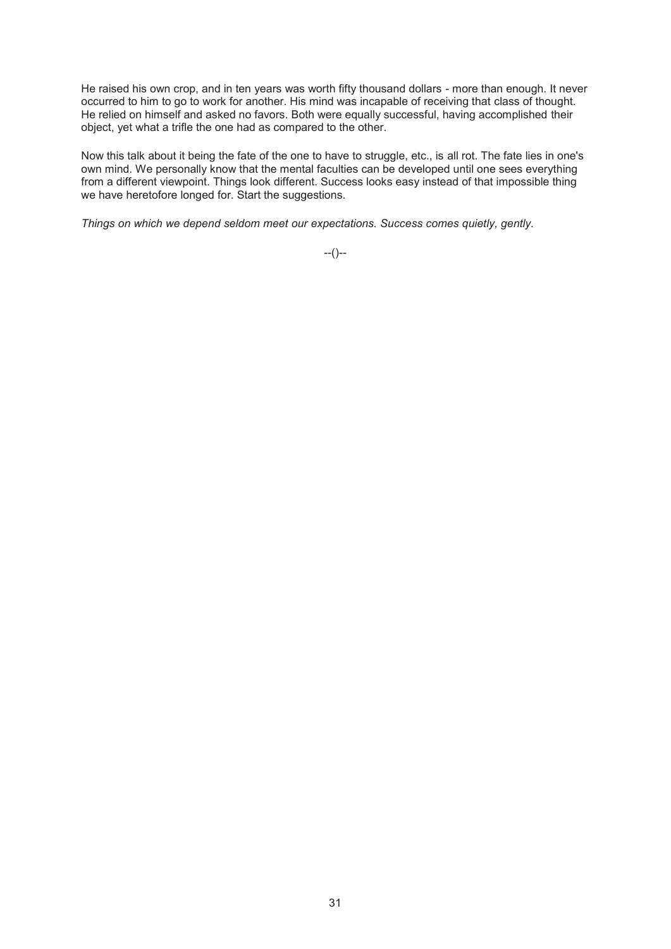He raised his own crop, and in ten years was worth fifty thousand dollars - more than enough. It never occurred to him to go to work for another. His mind was incapable of receiving that class of thought. He relied on himself and asked no favors. Both were equally successful, having accomplished their object, yet what a trifle the one had as compared to the other.

Now this talk about it being the fate of the one to have to struggle, etc., is all rot. The fate lies in one's own mind. We personally know that the mental faculties can be developed until one sees everything from a different viewpoint. Things look different. Success looks easy instead of that impossible thing we have heretofore longed for. Start the suggestions.

*Things on which we depend seldom meet our expectations. Success comes quietly, gently.*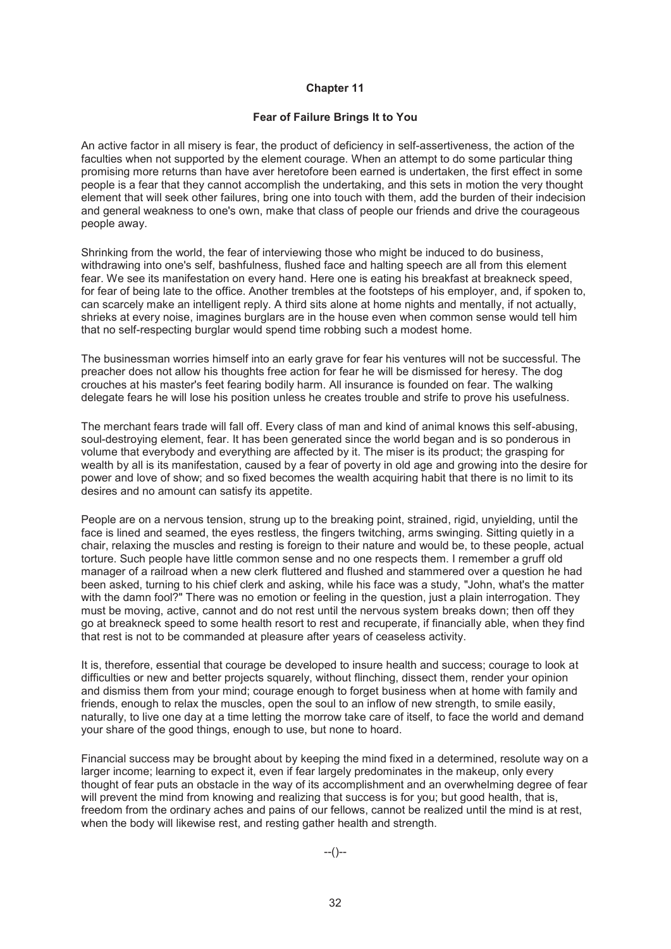## **Fear of Failure Brings It to You**

An active factor in all misery is fear, the product of deficiency in self-assertiveness, the action of the faculties when not supported by the element courage. When an attempt to do some particular thing promising more returns than have aver heretofore been earned is undertaken, the first effect in some people is a fear that they cannot accomplish the undertaking, and this sets in motion the very thought element that will seek other failures, bring one into touch with them, add the burden of their indecision and general weakness to one's own, make that class of people our friends and drive the courageous people away.

Shrinking from the world, the fear of interviewing those who might be induced to do business, withdrawing into one's self, bashfulness, flushed face and halting speech are all from this element fear. We see its manifestation on every hand. Here one is eating his breakfast at breakneck speed, for fear of being late to the office. Another trembles at the footsteps of his employer, and, if spoken to, can scarcely make an intelligent reply. A third sits alone at home nights and mentally, if not actually, shrieks at every noise, imagines burglars are in the house even when common sense would tell him that no self-respecting burglar would spend time robbing such a modest home.

The businessman worries himself into an early grave for fear his ventures will not be successful. The preacher does not allow his thoughts free action for fear he will be dismissed for heresy. The dog crouches at his master's feet fearing bodily harm. All insurance is founded on fear. The walking delegate fears he will lose his position unless he creates trouble and strife to prove his usefulness.

The merchant fears trade will fall off. Every class of man and kind of animal knows this self-abusing, soul-destroying element, fear. It has been generated since the world began and is so ponderous in volume that everybody and everything are affected by it. The miser is its product; the grasping for wealth by all is its manifestation, caused by a fear of poverty in old age and growing into the desire for power and love of show; and so fixed becomes the wealth acquiring habit that there is no limit to its desires and no amount can satisfy its appetite.

People are on a nervous tension, strung up to the breaking point, strained, rigid, unyielding, until the face is lined and seamed, the eyes restless, the fingers twitching, arms swinging. Sitting quietly in a chair, relaxing the muscles and resting is foreign to their nature and would be, to these people, actual torture. Such people have little common sense and no one respects them. I remember a gruff old manager of a railroad when a new clerk fluttered and flushed and stammered over a question he had been asked, turning to his chief clerk and asking, while his face was a study, "John, what's the matter with the damn fool?" There was no emotion or feeling in the question, just a plain interrogation. They must be moving, active, cannot and do not rest until the nervous system breaks down; then off they go at breakneck speed to some health resort to rest and recuperate, if financially able, when they find that rest is not to be commanded at pleasure after years of ceaseless activity.

It is, therefore, essential that courage be developed to insure health and success; courage to look at difficulties or new and better projects squarely, without flinching, dissect them, render your opinion and dismiss them from your mind; courage enough to forget business when at home with family and friends, enough to relax the muscles, open the soul to an inflow of new strength, to smile easily, naturally, to live one day at a time letting the morrow take care of itself, to face the world and demand your share of the good things, enough to use, but none to hoard.

Financial success may be brought about by keeping the mind fixed in a determined, resolute way on a larger income; learning to expect it, even if fear largely predominates in the makeup, only every thought of fear puts an obstacle in the way of its accomplishment and an overwhelming degree of fear will prevent the mind from knowing and realizing that success is for you; but good health, that is, freedom from the ordinary aches and pains of our fellows, cannot be realized until the mind is at rest, when the body will likewise rest, and resting gather health and strength.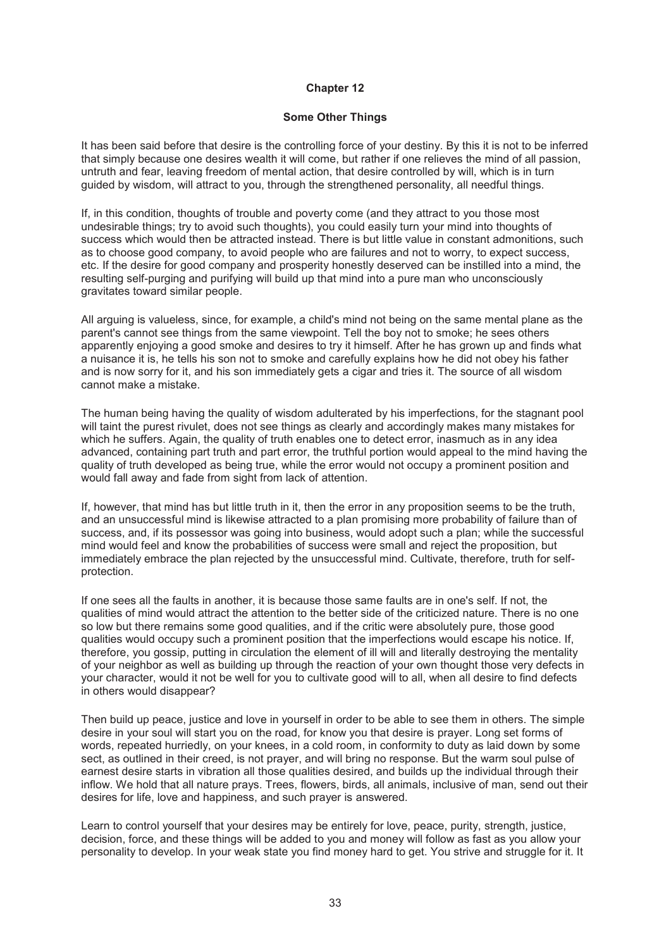#### **Some Other Things**

It has been said before that desire is the controlling force of your destiny. By this it is not to be inferred that simply because one desires wealth it will come, but rather if one relieves the mind of all passion, untruth and fear, leaving freedom of mental action, that desire controlled by will, which is in turn guided by wisdom, will attract to you, through the strengthened personality, all needful things.

If, in this condition, thoughts of trouble and poverty come (and they attract to you those most undesirable things; try to avoid such thoughts), you could easily turn your mind into thoughts of success which would then be attracted instead. There is but little value in constant admonitions, such as to choose good company, to avoid people who are failures and not to worry, to expect success, etc. If the desire for good company and prosperity honestly deserved can be instilled into a mind, the resulting self-purging and purifying will build up that mind into a pure man who unconsciously gravitates toward similar people.

All arguing is valueless, since, for example, a child's mind not being on the same mental plane as the parent's cannot see things from the same viewpoint. Tell the boy not to smoke; he sees others apparently enjoying a good smoke and desires to try it himself. After he has grown up and finds what a nuisance it is, he tells his son not to smoke and carefully explains how he did not obey his father and is now sorry for it, and his son immediately gets a cigar and tries it. The source of all wisdom cannot make a mistake.

The human being having the quality of wisdom adulterated by his imperfections, for the stagnant pool will taint the purest rivulet, does not see things as clearly and accordingly makes many mistakes for which he suffers. Again, the quality of truth enables one to detect error, inasmuch as in any idea advanced, containing part truth and part error, the truthful portion would appeal to the mind having the quality of truth developed as being true, while the error would not occupy a prominent position and would fall away and fade from sight from lack of attention.

If, however, that mind has but little truth in it, then the error in any proposition seems to be the truth, and an unsuccessful mind is likewise attracted to a plan promising more probability of failure than of success, and, if its possessor was going into business, would adopt such a plan; while the successful mind would feel and know the probabilities of success were small and reject the proposition, but immediately embrace the plan rejected by the unsuccessful mind. Cultivate, therefore, truth for selfprotection.

If one sees all the faults in another, it is because those same faults are in one's self. If not, the qualities of mind would attract the attention to the better side of the criticized nature. There is no one so low but there remains some good qualities, and if the critic were absolutely pure, those good qualities would occupy such a prominent position that the imperfections would escape his notice. If, therefore, you gossip, putting in circulation the element of ill will and literally destroying the mentality of your neighbor as well as building up through the reaction of your own thought those very defects in your character, would it not be well for you to cultivate good will to all, when all desire to find defects in others would disappear?

Then build up peace, justice and love in yourself in order to be able to see them in others. The simple desire in your soul will start you on the road, for know you that desire is prayer. Long set forms of words, repeated hurriedly, on your knees, in a cold room, in conformity to duty as laid down by some sect, as outlined in their creed, is not prayer, and will bring no response. But the warm soul pulse of earnest desire starts in vibration all those qualities desired, and builds up the individual through their inflow. We hold that all nature prays. Trees, flowers, birds, all animals, inclusive of man, send out their desires for life, love and happiness, and such prayer is answered.

Learn to control yourself that your desires may be entirely for love, peace, purity, strength, justice, decision, force, and these things will be added to you and money will follow as fast as you allow your personality to develop. In your weak state you find money hard to get. You strive and struggle for it. It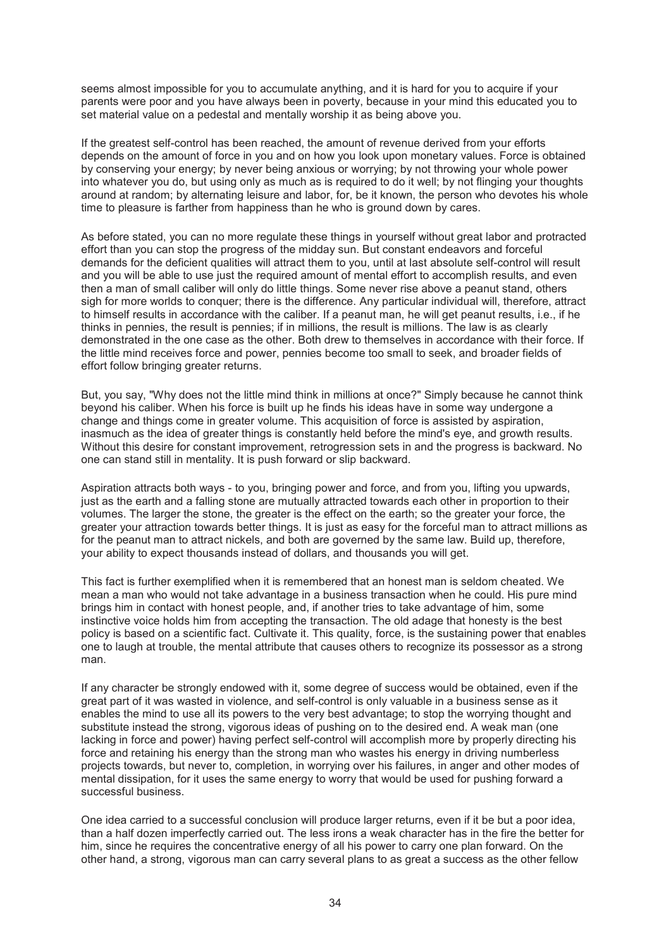seems almost impossible for you to accumulate anything, and it is hard for you to acquire if your parents were poor and you have always been in poverty, because in your mind this educated you to set material value on a pedestal and mentally worship it as being above you.

If the greatest self-control has been reached, the amount of revenue derived from your efforts depends on the amount of force in you and on how you look upon monetary values. Force is obtained by conserving your energy; by never being anxious or worrying; by not throwing your whole power into whatever you do, but using only as much as is required to do it well; by not flinging your thoughts around at random; by alternating leisure and labor, for, be it known, the person who devotes his whole time to pleasure is farther from happiness than he who is ground down by cares.

As before stated, you can no more regulate these things in yourself without great labor and protracted effort than you can stop the progress of the midday sun. But constant endeavors and forceful demands for the deficient qualities will attract them to you, until at last absolute self-control will result and you will be able to use just the required amount of mental effort to accomplish results, and even then a man of small caliber will only do little things. Some never rise above a peanut stand, others sigh for more worlds to conquer; there is the difference. Any particular individual will, therefore, attract to himself results in accordance with the caliber. If a peanut man, he will get peanut results, i.e., if he thinks in pennies, the result is pennies; if in millions, the result is millions. The law is as clearly demonstrated in the one case as the other. Both drew to themselves in accordance with their force. If the little mind receives force and power, pennies become too small to seek, and broader fields of effort follow bringing greater returns.

But, you say, "Why does not the little mind think in millions at once?" Simply because he cannot think beyond his caliber. When his force is built up he finds his ideas have in some way undergone a change and things come in greater volume. This acquisition of force is assisted by aspiration, inasmuch as the idea of greater things is constantly held before the mind's eye, and growth results. Without this desire for constant improvement, retrogression sets in and the progress is backward. No one can stand still in mentality. It is push forward or slip backward.

Aspiration attracts both ways - to you, bringing power and force, and from you, lifting you upwards, just as the earth and a falling stone are mutually attracted towards each other in proportion to their volumes. The larger the stone, the greater is the effect on the earth; so the greater your force, the greater your attraction towards better things. It is just as easy for the forceful man to attract millions as for the peanut man to attract nickels, and both are governed by the same law. Build up, therefore, your ability to expect thousands instead of dollars, and thousands you will get.

This fact is further exemplified when it is remembered that an honest man is seldom cheated. We mean a man who would not take advantage in a business transaction when he could. His pure mind brings him in contact with honest people, and, if another tries to take advantage of him, some instinctive voice holds him from accepting the transaction. The old adage that honesty is the best policy is based on a scientific fact. Cultivate it. This quality, force, is the sustaining power that enables one to laugh at trouble, the mental attribute that causes others to recognize its possessor as a strong man.

If any character be strongly endowed with it, some degree of success would be obtained, even if the great part of it was wasted in violence, and self-control is only valuable in a business sense as it enables the mind to use all its powers to the very best advantage; to stop the worrying thought and substitute instead the strong, vigorous ideas of pushing on to the desired end. A weak man (one lacking in force and power) having perfect self-control will accomplish more by properly directing his force and retaining his energy than the strong man who wastes his energy in driving numberless projects towards, but never to, completion, in worrying over his failures, in anger and other modes of mental dissipation, for it uses the same energy to worry that would be used for pushing forward a successful business.

One idea carried to a successful conclusion will produce larger returns, even if it be but a poor idea, than a half dozen imperfectly carried out. The less irons a weak character has in the fire the better for him, since he requires the concentrative energy of all his power to carry one plan forward. On the other hand, a strong, vigorous man can carry several plans to as great a success as the other fellow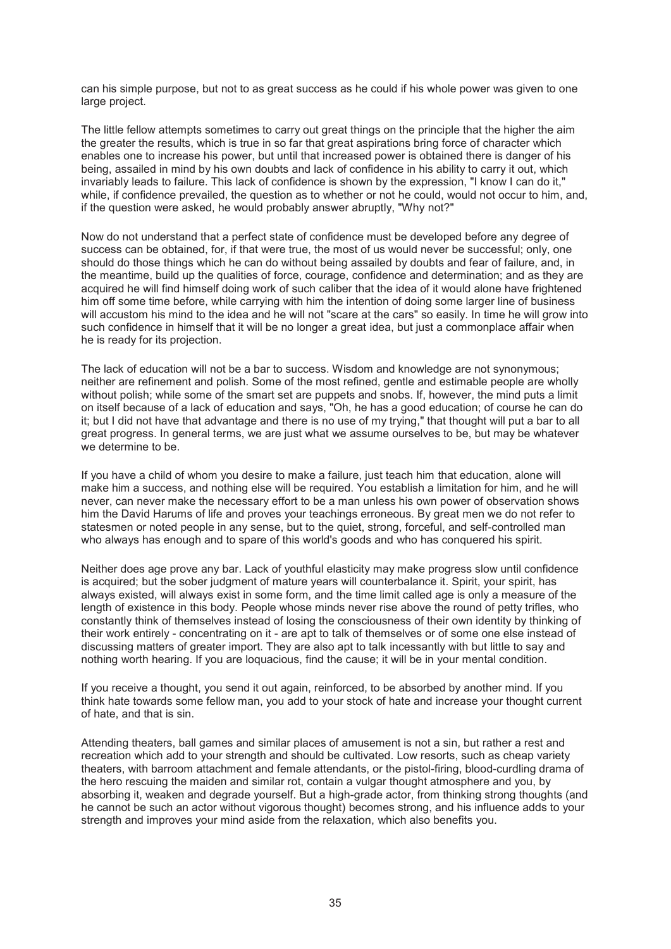can his simple purpose, but not to as great success as he could if his whole power was given to one large project.

The little fellow attempts sometimes to carry out great things on the principle that the higher the aim the greater the results, which is true in so far that great aspirations bring force of character which enables one to increase his power, but until that increased power is obtained there is danger of his being, assailed in mind by his own doubts and lack of confidence in his ability to carry it out, which invariably leads to failure. This lack of confidence is shown by the expression, "I know I can do it," while, if confidence prevailed, the question as to whether or not he could, would not occur to him, and, if the question were asked, he would probably answer abruptly, "Why not?"

Now do not understand that a perfect state of confidence must be developed before any degree of success can be obtained, for, if that were true, the most of us would never be successful; only, one should do those things which he can do without being assailed by doubts and fear of failure, and, in the meantime, build up the qualities of force, courage, confidence and determination; and as they are acquired he will find himself doing work of such caliber that the idea of it would alone have frightened him off some time before, while carrying with him the intention of doing some larger line of business will accustom his mind to the idea and he will not "scare at the cars" so easily. In time he will grow into such confidence in himself that it will be no longer a great idea, but just a commonplace affair when he is ready for its projection.

The lack of education will not be a bar to success. Wisdom and knowledge are not synonymous; neither are refinement and polish. Some of the most refined, gentle and estimable people are wholly without polish; while some of the smart set are puppets and snobs. If, however, the mind puts a limit on itself because of a lack of education and says, "Oh, he has a good education; of course he can do it; but I did not have that advantage and there is no use of my trying," that thought will put a bar to all great progress. In general terms, we are just what we assume ourselves to be, but may be whatever we determine to be.

If you have a child of whom you desire to make a failure, just teach him that education, alone will make him a success, and nothing else will be required. You establish a limitation for him, and he will never, can never make the necessary effort to be a man unless his own power of observation shows him the David Harums of life and proves your teachings erroneous. By great men we do not refer to statesmen or noted people in any sense, but to the quiet, strong, forceful, and self-controlled man who always has enough and to spare of this world's goods and who has conquered his spirit.

Neither does age prove any bar. Lack of youthful elasticity may make progress slow until confidence is acquired; but the sober judgment of mature years will counterbalance it. Spirit, your spirit, has always existed, will always exist in some form, and the time limit called age is only a measure of the length of existence in this body. People whose minds never rise above the round of petty trifles, who constantly think of themselves instead of losing the consciousness of their own identity by thinking of their work entirely - concentrating on it - are apt to talk of themselves or of some one else instead of discussing matters of greater import. They are also apt to talk incessantly with but little to say and nothing worth hearing. If you are loquacious, find the cause; it will be in your mental condition.

If you receive a thought, you send it out again, reinforced, to be absorbed by another mind. If you think hate towards some fellow man, you add to your stock of hate and increase your thought current of hate, and that is sin.

Attending theaters, ball games and similar places of amusement is not a sin, but rather a rest and recreation which add to your strength and should be cultivated. Low resorts, such as cheap variety theaters, with barroom attachment and female attendants, or the pistol-firing, blood-curdling drama of the hero rescuing the maiden and similar rot, contain a vulgar thought atmosphere and you, by absorbing it, weaken and degrade yourself. But a high-grade actor, from thinking strong thoughts (and he cannot be such an actor without vigorous thought) becomes strong, and his influence adds to your strength and improves your mind aside from the relaxation, which also benefits you.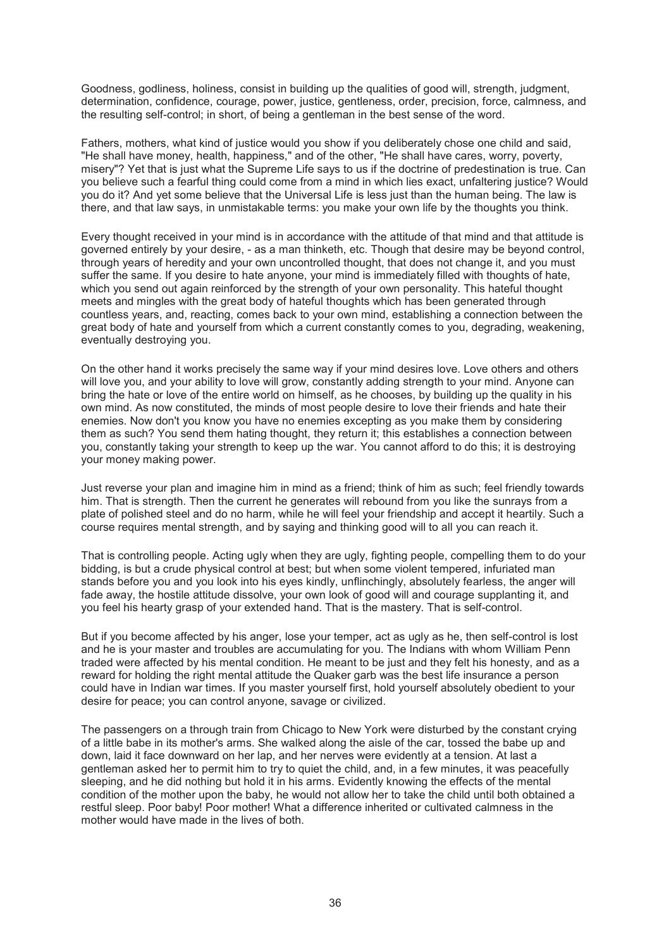Goodness, godliness, holiness, consist in building up the qualities of good will, strength, judgment, determination, confidence, courage, power, justice, gentleness, order, precision, force, calmness, and the resulting self-control; in short, of being a gentleman in the best sense of the word.

Fathers, mothers, what kind of justice would you show if you deliberately chose one child and said, "He shall have money, health, happiness," and of the other, "He shall have cares, worry, poverty, misery"? Yet that is just what the Supreme Life says to us if the doctrine of predestination is true. Can you believe such a fearful thing could come from a mind in which lies exact, unfaltering justice? Would you do it? And yet some believe that the Universal Life is less just than the human being. The law is there, and that law says, in unmistakable terms: you make your own life by the thoughts you think.

Every thought received in your mind is in accordance with the attitude of that mind and that attitude is governed entirely by your desire, - as a man thinketh, etc. Though that desire may be beyond control, through years of heredity and your own uncontrolled thought, that does not change it, and you must suffer the same. If you desire to hate anyone, your mind is immediately filled with thoughts of hate, which you send out again reinforced by the strength of your own personality. This hateful thought meets and mingles with the great body of hateful thoughts which has been generated through countless years, and, reacting, comes back to your own mind, establishing a connection between the great body of hate and yourself from which a current constantly comes to you, degrading, weakening, eventually destroying you.

On the other hand it works precisely the same way if your mind desires love. Love others and others will love you, and your ability to love will grow, constantly adding strength to your mind. Anyone can bring the hate or love of the entire world on himself, as he chooses, by building up the quality in his own mind. As now constituted, the minds of most people desire to love their friends and hate their enemies. Now don't you know you have no enemies excepting as you make them by considering them as such? You send them hating thought, they return it; this establishes a connection between you, constantly taking your strength to keep up the war. You cannot afford to do this; it is destroying your money making power.

Just reverse your plan and imagine him in mind as a friend; think of him as such; feel friendly towards him. That is strength. Then the current he generates will rebound from you like the sunrays from a plate of polished steel and do no harm, while he will feel your friendship and accept it heartily. Such a course requires mental strength, and by saying and thinking good will to all you can reach it.

That is controlling people. Acting ugly when they are ugly, fighting people, compelling them to do your bidding, is but a crude physical control at best; but when some violent tempered, infuriated man stands before you and you look into his eyes kindly, unflinchingly, absolutely fearless, the anger will fade away, the hostile attitude dissolve, your own look of good will and courage supplanting it, and you feel his hearty grasp of your extended hand. That is the mastery. That is self-control.

But if you become affected by his anger, lose your temper, act as ugly as he, then self-control is lost and he is your master and troubles are accumulating for you. The Indians with whom William Penn traded were affected by his mental condition. He meant to be just and they felt his honesty, and as a reward for holding the right mental attitude the Quaker garb was the best life insurance a person could have in Indian war times. If you master yourself first, hold yourself absolutely obedient to your desire for peace; you can control anyone, savage or civilized.

The passengers on a through train from Chicago to New York were disturbed by the constant crying of a little babe in its mother's arms. She walked along the aisle of the car, tossed the babe up and down, laid it face downward on her lap, and her nerves were evidently at a tension. At last a gentleman asked her to permit him to try to quiet the child, and, in a few minutes, it was peacefully sleeping, and he did nothing but hold it in his arms. Evidently knowing the effects of the mental condition of the mother upon the baby, he would not allow her to take the child until both obtained a restful sleep. Poor baby! Poor mother! What a difference inherited or cultivated calmness in the mother would have made in the lives of both.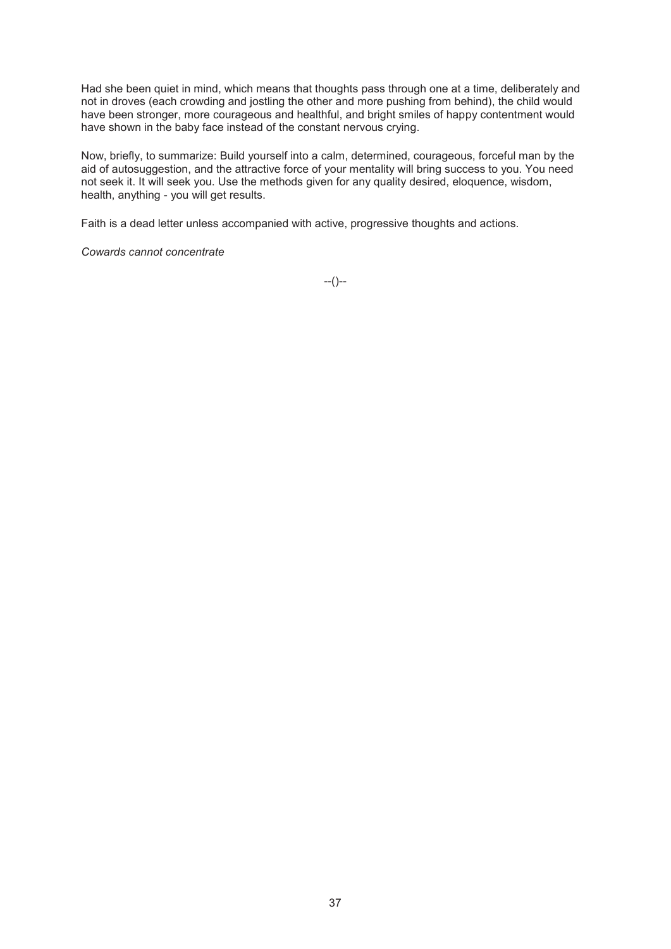Had she been quiet in mind, which means that thoughts pass through one at a time, deliberately and not in droves (each crowding and jostling the other and more pushing from behind), the child would have been stronger, more courageous and healthful, and bright smiles of happy contentment would have shown in the baby face instead of the constant nervous crying.

Now, briefly, to summarize: Build yourself into a calm, determined, courageous, forceful man by the aid of autosuggestion, and the attractive force of your mentality will bring success to you. You need not seek it. It will seek you. Use the methods given for any quality desired, eloquence, wisdom, health, anything - you will get results.

Faith is a dead letter unless accompanied with active, progressive thoughts and actions.

*Cowards cannot concentrate*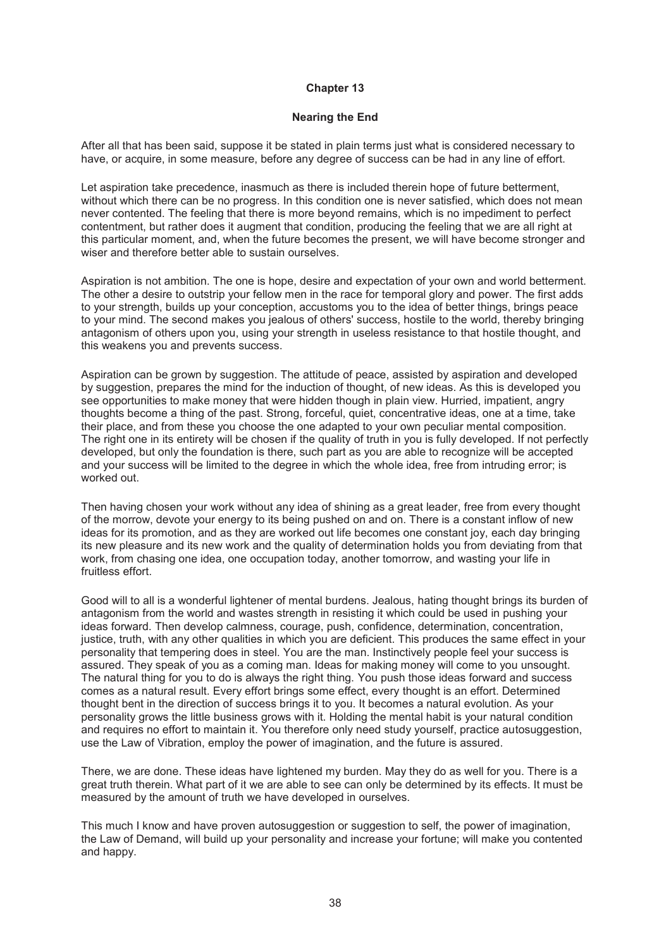#### **Nearing the End**

After all that has been said, suppose it be stated in plain terms just what is considered necessary to have, or acquire, in some measure, before any degree of success can be had in any line of effort.

Let aspiration take precedence, inasmuch as there is included therein hope of future betterment, without which there can be no progress. In this condition one is never satisfied, which does not mean never contented. The feeling that there is more beyond remains, which is no impediment to perfect contentment, but rather does it augment that condition, producing the feeling that we are all right at this particular moment, and, when the future becomes the present, we will have become stronger and wiser and therefore better able to sustain ourselves.

Aspiration is not ambition. The one is hope, desire and expectation of your own and world betterment. The other a desire to outstrip your fellow men in the race for temporal glory and power. The first adds to your strength, builds up your conception, accustoms you to the idea of better things, brings peace to your mind. The second makes you jealous of others' success, hostile to the world, thereby bringing antagonism of others upon you, using your strength in useless resistance to that hostile thought, and this weakens you and prevents success.

Aspiration can be grown by suggestion. The attitude of peace, assisted by aspiration and developed by suggestion, prepares the mind for the induction of thought, of new ideas. As this is developed you see opportunities to make money that were hidden though in plain view. Hurried, impatient, angry thoughts become a thing of the past. Strong, forceful, quiet, concentrative ideas, one at a time, take their place, and from these you choose the one adapted to your own peculiar mental composition. The right one in its entirety will be chosen if the quality of truth in you is fully developed. If not perfectly developed, but only the foundation is there, such part as you are able to recognize will be accepted and your success will be limited to the degree in which the whole idea, free from intruding error; is worked out.

Then having chosen your work without any idea of shining as a great leader, free from every thought of the morrow, devote your energy to its being pushed on and on. There is a constant inflow of new ideas for its promotion, and as they are worked out life becomes one constant joy, each day bringing its new pleasure and its new work and the quality of determination holds you from deviating from that work, from chasing one idea, one occupation today, another tomorrow, and wasting your life in fruitless effort.

Good will to all is a wonderful lightener of mental burdens. Jealous, hating thought brings its burden of antagonism from the world and wastes strength in resisting it which could be used in pushing your ideas forward. Then develop calmness, courage, push, confidence, determination, concentration, justice, truth, with any other qualities in which you are deficient. This produces the same effect in your personality that tempering does in steel. You are the man. Instinctively people feel your success is assured. They speak of you as a coming man. Ideas for making money will come to you unsought. The natural thing for you to do is always the right thing. You push those ideas forward and success comes as a natural result. Every effort brings some effect, every thought is an effort. Determined thought bent in the direction of success brings it to you. It becomes a natural evolution. As your personality grows the little business grows with it. Holding the mental habit is your natural condition and requires no effort to maintain it. You therefore only need study yourself, practice autosuggestion, use the Law of Vibration, employ the power of imagination, and the future is assured.

There, we are done. These ideas have lightened my burden. May they do as well for you. There is a great truth therein. What part of it we are able to see can only be determined by its effects. It must be measured by the amount of truth we have developed in ourselves.

This much I know and have proven autosuggestion or suggestion to self, the power of imagination, the Law of Demand, will build up your personality and increase your fortune; will make you contented and happy.